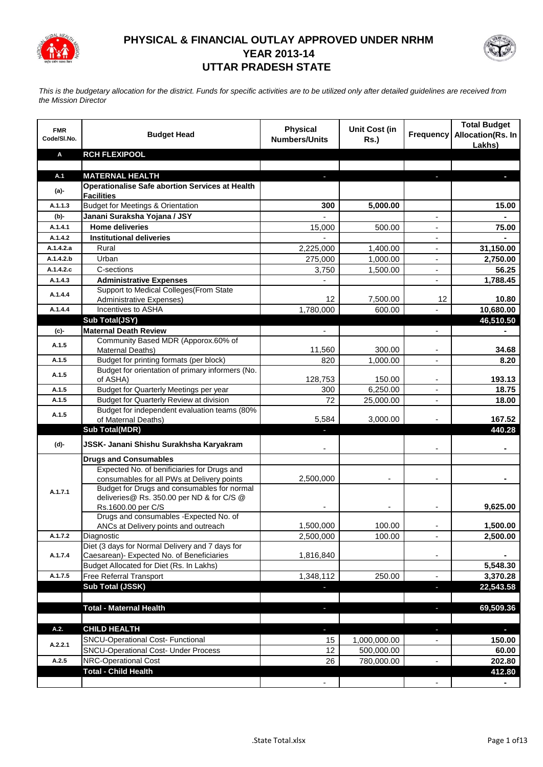

## **PHYSICAL & FINANCIAL OUTLAY APPROVED UNDER NRHM YEAR 2013-14 UTTAR PRADESH STATE**



*This is the budgetary allocation for the district. Funds for specific activities are to be utilized only after detailed guidelines are received from the Mission Director*

| <b>FMR</b><br>Code/SI.No. | <b>Budget Head</b>                                                                       | <b>Physical</b><br><b>Numbers/Units</b> | <b>Unit Cost (in</b><br><b>Rs.)</b> | Frequency                | <b>Total Budget</b><br>Allocation(Rs. In<br>Lakhs) |
|---------------------------|------------------------------------------------------------------------------------------|-----------------------------------------|-------------------------------------|--------------------------|----------------------------------------------------|
| A                         | <b>RCH FLEXIPOOL</b>                                                                     |                                         |                                     |                          |                                                    |
|                           |                                                                                          |                                         |                                     |                          |                                                    |
| A.1                       | <b>MATERNAL HEALTH</b>                                                                   |                                         |                                     |                          |                                                    |
| $(a)$ -                   | <b>Operationalise Safe abortion Services at Health</b><br><b>Facilities</b>              |                                         |                                     |                          |                                                    |
| A.1.1.3                   | <b>Budget for Meetings &amp; Orientation</b>                                             | 300                                     | 5,000.00                            |                          | 15.00                                              |
| $(b)$ -                   | Janani Suraksha Yojana / JSY                                                             |                                         |                                     | $\blacksquare$           |                                                    |
| A.1.4.1                   | <b>Home deliveries</b>                                                                   | 15,000                                  | 500.00                              | $\overline{\phantom{a}}$ | 75.00                                              |
| A.1.4.2                   | <b>Institutional deliveries</b>                                                          |                                         |                                     | $\overline{\phantom{a}}$ |                                                    |
| A.1.4.2.a                 | Rural                                                                                    | 2,225,000                               | 1,400.00                            |                          | 31,150.00                                          |
| A.1.4.2.b                 | Urban                                                                                    | 275,000                                 | 1,000.00                            |                          | 2,750.00                                           |
| A.1.4.2.c                 | C-sections                                                                               | 3,750                                   | 1,500.00                            |                          | 56.25                                              |
| A.1.4.3                   | <b>Administrative Expenses</b>                                                           |                                         |                                     |                          | 1,788.45                                           |
| A.1.4.4                   | Support to Medical Colleges (From State                                                  |                                         |                                     |                          |                                                    |
|                           | Administrative Expenses)                                                                 | 12                                      | 7,500.00                            | 12                       | 10.80                                              |
| A.1.4.4                   | Incentives to ASHA                                                                       | 1,780,000                               | 600.00                              | $\mathbf{r}$             | 10,680.00                                          |
|                           | Sub Total(JSY)                                                                           |                                         |                                     |                          | 46,510.50                                          |
| (c)-                      | <b>Maternal Death Review</b>                                                             | $\overline{\phantom{a}}$                |                                     | $\overline{\phantom{a}}$ |                                                    |
| A.1.5                     | Community Based MDR (Apporox.60% of<br>Maternal Deaths)                                  | 11,560                                  | 300.00                              |                          | 34.68                                              |
| A.1.5                     | Budget for printing formats (per block)                                                  | 820                                     | 1,000.00                            |                          | 8.20                                               |
| A.1.5                     | Budget for orientation of primary informers (No.<br>of ASHA)                             | 128,753                                 | 150.00                              |                          | 193.13                                             |
| A.1.5                     | Budget for Quarterly Meetings per year                                                   | 300                                     | 6,250.00                            |                          | 18.75                                              |
| A.1.5                     | Budget for Quarterly Review at division                                                  | 72                                      | 25,000.00                           |                          | 18.00                                              |
| A.1.5                     | Budget for independent evaluation teams (80%<br>of Maternal Deaths)                      | 5,584                                   | 3,000.00                            |                          | 167.52                                             |
|                           | <b>Sub Total(MDR)</b>                                                                    |                                         |                                     |                          | 440.28                                             |
| (d)-                      | JSSK- Janani Shishu Surakhsha Karyakram                                                  |                                         |                                     |                          |                                                    |
|                           | <b>Drugs and Consumables</b>                                                             |                                         |                                     |                          |                                                    |
|                           | Expected No. of benificiaries for Drugs and                                              |                                         |                                     |                          |                                                    |
|                           | consumables for all PWs at Delivery points                                               | 2,500,000                               | $\overline{\phantom{a}}$            |                          |                                                    |
| A.1.7.1                   | Budget for Drugs and consumables for normal<br>deliveries@ Rs. 350.00 per ND & for C/S @ |                                         |                                     |                          |                                                    |
|                           | Rs.1600.00 per C/S                                                                       |                                         |                                     |                          | 9,625.00                                           |
|                           | Drugs and consumables - Expected No. of                                                  | 1,500,000                               | 100.00                              |                          | 1,500.00                                           |
| A.1.7.2                   | ANCs at Delivery points and outreach<br>Diagnostic                                       | 2,500,000                               | 100.00                              |                          | 2,500.00                                           |
|                           | Diet (3 days for Normal Delivery and 7 days for                                          |                                         |                                     |                          |                                                    |
| A.1.7.4                   | Caesarean)- Expected No. of Beneficiaries                                                | 1,816,840                               |                                     | $\overline{\phantom{a}}$ |                                                    |
|                           | Budget Allocated for Diet (Rs. In Lakhs)                                                 |                                         |                                     |                          | 5,548.30                                           |
| A.1.7.5                   | Free Referral Transport                                                                  | 1,348,112                               | 250.00                              |                          | 3,370.28                                           |
|                           | Sub Total (JSSK)                                                                         |                                         |                                     | $\blacksquare$           | 22,543.58                                          |
|                           |                                                                                          |                                         |                                     |                          |                                                    |
|                           | <b>Total - Maternal Health</b>                                                           |                                         |                                     |                          | 69,509.36                                          |
| A.2.                      | <b>CHILD HEALTH</b>                                                                      |                                         |                                     | E.                       | $\blacksquare$                                     |
|                           | <b>SNCU-Operational Cost- Functional</b>                                                 | 15                                      | 1,000,000.00                        |                          | 150.00                                             |
| A.2.2.1                   | <b>SNCU-Operational Cost- Under Process</b>                                              | 12                                      | 500,000.00                          |                          | 60.00                                              |
| A.2.5                     | NRC-Operational Cost                                                                     | 26                                      | 780,000.00                          |                          | 202.80                                             |
|                           | <b>Total - Child Health</b>                                                              |                                         |                                     |                          | 412.80                                             |
|                           |                                                                                          | $\blacksquare$                          |                                     |                          |                                                    |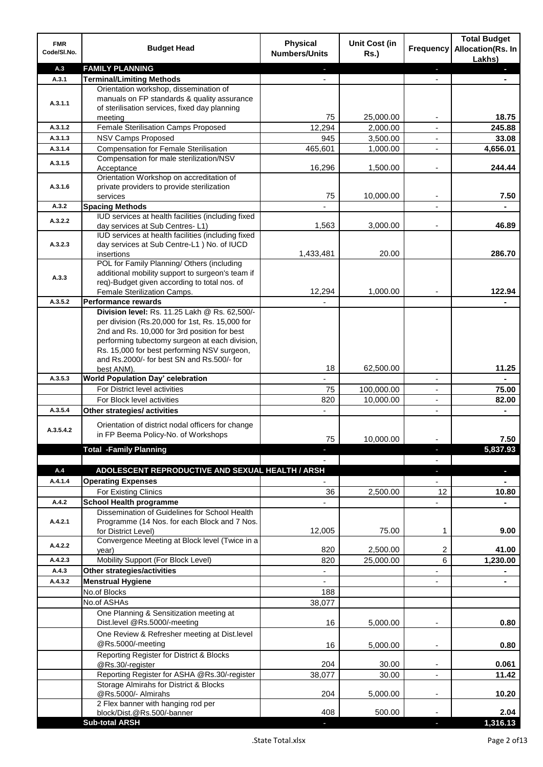| <b>FMR</b><br>Code/SI.No. | <b>Budget Head</b>                                                                             | <b>Physical</b><br><b>Numbers/Units</b> | <b>Unit Cost (in</b><br><b>Rs.)</b> | Frequency                | <b>Total Budget</b><br><b>Allocation(Rs. In</b><br>Lakhs) |
|---------------------------|------------------------------------------------------------------------------------------------|-----------------------------------------|-------------------------------------|--------------------------|-----------------------------------------------------------|
| A.3                       | <b>FAMILY PLANNING</b>                                                                         | J,                                      |                                     | J.                       | $\blacksquare$                                            |
| A.3.1                     | <b>Terminal/Limiting Methods</b>                                                               |                                         |                                     |                          |                                                           |
|                           | Orientation workshop, dissemination of                                                         |                                         |                                     |                          |                                                           |
| A.3.1.1                   | manuals on FP standards & quality assurance                                                    |                                         |                                     |                          |                                                           |
|                           | of sterilisation services, fixed day planning                                                  | 75                                      | 25,000.00                           |                          | 18.75                                                     |
| A.3.1.2                   | meeting<br>Female Sterilisation Camps Proposed                                                 | 12,294                                  | 2,000.00                            |                          | 245.88                                                    |
| A.3.1.3                   | <b>NSV Camps Proposed</b>                                                                      | 945                                     | 3,500.00                            |                          | 33.08                                                     |
| A.3.1.4                   | <b>Compensation for Female Sterilisation</b>                                                   | 465,601                                 | 1,000.00                            |                          | 4,656.01                                                  |
|                           | Compensation for male sterilization/NSV                                                        |                                         |                                     |                          |                                                           |
| A.3.1.5                   | Acceptance                                                                                     | 16,296                                  | 1,500.00                            |                          | 244.44                                                    |
|                           | Orientation Workshop on accreditation of                                                       |                                         |                                     |                          |                                                           |
| A.3.1.6                   | private providers to provide sterilization                                                     | 75                                      |                                     |                          | 7.50                                                      |
| A.3.2                     | services<br><b>Spacing Methods</b>                                                             |                                         | 10,000.00                           | $\overline{a}$           |                                                           |
|                           | IUD services at health facilities (including fixed                                             |                                         |                                     |                          |                                                           |
| A.3.2.2                   | day services at Sub Centres-L1)                                                                | 1,563                                   | 3,000.00                            |                          | 46.89                                                     |
|                           | IUD services at health facilities (including fixed                                             |                                         |                                     |                          |                                                           |
| A.3.2.3                   | day services at Sub Centre-L1 ) No. of IUCD                                                    |                                         |                                     |                          |                                                           |
|                           | insertions                                                                                     | 1,433,481                               | 20.00                               |                          | 286.70                                                    |
|                           | POL for Family Planning/ Others (including<br>additional mobility support to surgeon's team if |                                         |                                     |                          |                                                           |
| A.3.3                     | req)-Budget given according to total nos. of                                                   |                                         |                                     |                          |                                                           |
|                           | Female Sterilization Camps.                                                                    | 12,294                                  | 1,000.00                            |                          | 122.94                                                    |
| A.3.5.2                   | <b>Performance rewards</b>                                                                     |                                         |                                     |                          |                                                           |
|                           | Division level: Rs. 11.25 Lakh @ Rs. 62,500/-                                                  |                                         |                                     |                          |                                                           |
|                           | per division (Rs.20,000 for 1st, Rs. 15,000 for                                                |                                         |                                     |                          |                                                           |
|                           | 2nd and Rs. 10,000 for 3rd position for best                                                   |                                         |                                     |                          |                                                           |
|                           | performing tubectomy surgeon at each division,<br>Rs. 15,000 for best performing NSV surgeon,  |                                         |                                     |                          |                                                           |
|                           | and Rs.2000/- for best SN and Rs.500/- for                                                     |                                         |                                     |                          |                                                           |
|                           | best ANM).                                                                                     | 18                                      | 62,500.00                           |                          | 11.25                                                     |
| A.3.5.3                   | World Population Day' celebration                                                              |                                         |                                     |                          |                                                           |
|                           | For District level activities                                                                  | 75                                      | 100,000.00                          |                          | 75.00                                                     |
|                           | For Block level activities                                                                     | 820                                     | 10,000.00                           | $\overline{a}$           | 82.00                                                     |
| A.3.5.4                   | Other strategies/ activities                                                                   |                                         |                                     | $\blacksquare$           |                                                           |
| A.3.5.4.2                 | Orientation of district nodal officers for change<br>in FP Beema Policy-No. of Workshops       |                                         |                                     |                          |                                                           |
|                           |                                                                                                | 75                                      | 10,000.00                           |                          | 7.50                                                      |
|                           | <b>Total -Family Planning</b>                                                                  |                                         |                                     | $\sim$                   | 5,837.93                                                  |
|                           |                                                                                                |                                         |                                     |                          |                                                           |
| A.4                       | ADOLESCENT REPRODUCTIVE AND SEXUAL HEALTH / ARSH                                               |                                         |                                     | J.                       | $\blacksquare$                                            |
| A.4.1.4                   | <b>Operating Expenses</b>                                                                      |                                         |                                     |                          |                                                           |
| A.4.2                     | For Existing Clinics<br><b>School Health programme</b>                                         | 36<br>L.                                | 2,500.00                            | 12                       | 10.80                                                     |
|                           | Dissemination of Guidelines for School Health                                                  |                                         |                                     |                          |                                                           |
| A.4.2.1                   | Programme (14 Nos. for each Block and 7 Nos.                                                   |                                         |                                     |                          |                                                           |
|                           | for District Level)                                                                            | 12,005                                  | 75.00                               | 1                        | 9.00                                                      |
| A.4.2.2                   | Convergence Meeting at Block level (Twice in a                                                 |                                         |                                     |                          |                                                           |
|                           | vear)                                                                                          | 820                                     | 2,500.00                            | 2                        | 41.00                                                     |
| A.4.2.3                   | Mobility Support (For Block Level)<br>Other strategies/activities                              | 820                                     | 25,000.00                           | 6                        | 1,230.00                                                  |
| A.4.3<br>A.4.3.2          | <b>Menstrual Hygiene</b>                                                                       |                                         |                                     |                          |                                                           |
|                           | No.of Blocks                                                                                   | 188                                     |                                     |                          |                                                           |
|                           | No.of ASHAs                                                                                    | 38,077                                  |                                     |                          |                                                           |
|                           | One Planning & Sensitization meeting at                                                        |                                         |                                     |                          |                                                           |
|                           | Dist.level @Rs.5000/-meeting                                                                   | 16                                      | 5,000.00                            |                          | 0.80                                                      |
|                           | One Review & Refresher meeting at Dist.level                                                   |                                         |                                     |                          |                                                           |
|                           | @Rs.5000/-meeting                                                                              | 16                                      | 5,000.00                            |                          | 0.80                                                      |
|                           | Reporting Register for District & Blocks<br>@Rs.30/-register                                   | 204                                     | 30.00                               |                          | 0.061                                                     |
|                           | Reporting Register for ASHA @Rs.30/-register                                                   | 38,077                                  | 30.00                               | $\blacksquare$           | 11.42                                                     |
|                           | Storage Almirahs for District & Blocks                                                         |                                         |                                     |                          |                                                           |
|                           | @Rs.5000/- Almirahs                                                                            | 204                                     | 5,000.00                            | $\overline{\phantom{a}}$ | 10.20                                                     |
|                           | 2 Flex banner with hanging rod per                                                             |                                         |                                     |                          |                                                           |
|                           | block/Dist.@Rs.500/-banner                                                                     | 408                                     | 500.00                              |                          | 2.04                                                      |
|                           | <b>Sub-total ARSH</b>                                                                          |                                         |                                     |                          | 1,316.13                                                  |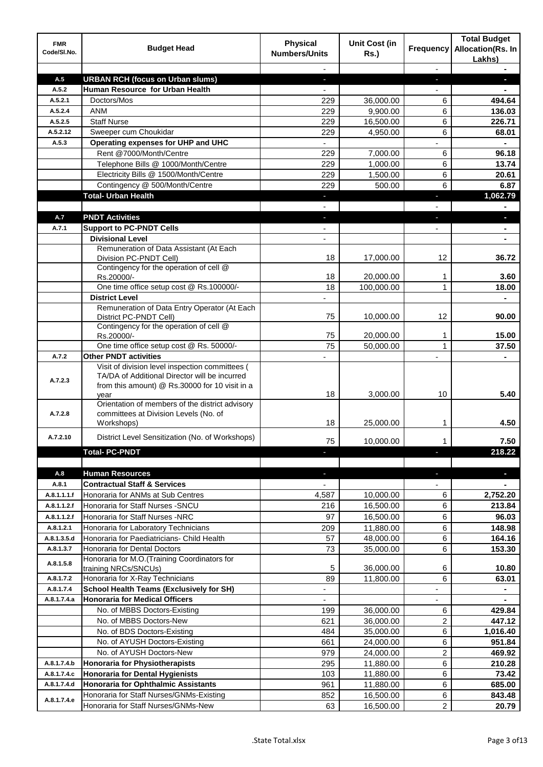| <b>FMR</b>  |                                                                            | <b>Physical</b>          | <b>Unit Cost (in</b> |                          | <b>Total Budget</b>      |
|-------------|----------------------------------------------------------------------------|--------------------------|----------------------|--------------------------|--------------------------|
| Code/SI.No. | <b>Budget Head</b>                                                         | <b>Numbers/Units</b>     | <b>Rs.)</b>          | Frequency                | <b>Allocation(Rs. In</b> |
|             |                                                                            |                          |                      |                          | Lakhs)                   |
| A.5         |                                                                            |                          |                      |                          | $\blacksquare$           |
| A.5.2       | <b>URBAN RCH (focus on Urban slums)</b><br>Human Resource for Urban Health | r.                       |                      | ٠                        | U                        |
| A.5.2.1     | Doctors/Mos                                                                |                          |                      |                          |                          |
| A.5.2.4     | <b>ANM</b>                                                                 | 229                      | 36,000.00            | 6<br>6                   | 494.64                   |
| A.5.2.5     | <b>Staff Nurse</b>                                                         | 229                      | 9,900.00             | 6                        | 136.03                   |
| A.5.2.12    | Sweeper cum Choukidar                                                      | 229                      | 16,500.00            | 6                        | 226.71                   |
| A.5.3       | Operating expenses for UHP and UHC                                         | 229                      | 4,950.00             |                          | 68.01                    |
|             | Rent @7000/Month/Centre                                                    |                          |                      |                          | $\blacksquare$           |
|             |                                                                            | 229                      | 7,000.00             | 6                        | 96.18                    |
|             | Telephone Bills @ 1000/Month/Centre                                        | 229                      | 1,000.00             | 6                        | 13.74                    |
|             | Electricity Bills @ 1500/Month/Centre                                      | 229                      | 1,500.00             | 6                        | 20.61                    |
|             | Contingency @ 500/Month/Centre                                             | 229                      | 500.00               | 6                        | 6.87                     |
|             | <b>Total- Urban Health</b>                                                 | ä,                       |                      | J,                       | 1,062.79                 |
|             |                                                                            | $\blacksquare$           |                      | $\blacksquare$           | $\blacksquare$           |
| A.7         | <b>PNDT Activities</b>                                                     | $\blacksquare$           |                      | ٠                        | a,                       |
| A.7.1       | <b>Support to PC-PNDT Cells</b>                                            | $\blacksquare$           |                      | $\blacksquare$           |                          |
|             | <b>Divisional Level</b>                                                    | $\overline{\phantom{a}}$ |                      |                          | ÷.                       |
|             | Remuneration of Data Assistant (At Each<br>Division PC-PNDT Cell)          | 18                       | 17,000.00            | 12                       | 36.72                    |
|             | Contingency for the operation of cell @                                    |                          |                      |                          |                          |
|             | Rs.20000/-                                                                 | 18                       | 20,000.00            | 1                        | 3.60                     |
|             | One time office setup cost @ Rs.100000/-                                   | 18                       | 100,000.00           | 1                        | 18.00                    |
|             | <b>District Level</b>                                                      | ٠                        |                      |                          |                          |
|             | Remuneration of Data Entry Operator (At Each<br>District PC-PNDT Cell)     | 75                       | 10,000.00            | 12                       | 90.00                    |
|             | Contingency for the operation of cell @                                    |                          |                      |                          |                          |
|             | Rs.20000/-                                                                 | 75                       | 20,000.00            | 1                        | 15.00                    |
|             | One time office setup cost @ Rs. 50000/-                                   | 75                       | 50,000.00            | $\mathbf{1}$             | 37.50                    |
| A.7.2       | <b>Other PNDT activities</b>                                               |                          |                      |                          |                          |
|             | Visit of division level inspection committees (                            |                          |                      |                          |                          |
| A.7.2.3     | TA/DA of Additional Director will be incurred                              |                          |                      |                          |                          |
|             | from this amount) @ Rs.30000 for 10 visit in a                             |                          |                      |                          |                          |
|             | year                                                                       | 18                       | 3,000.00             | 10                       | 5.40                     |
|             | Orientation of members of the district advisory                            |                          |                      |                          |                          |
| A.7.2.8     | committees at Division Levels (No. of                                      | 18                       |                      | 1                        | 4.50                     |
|             | Workshops)                                                                 |                          | 25,000.00            |                          |                          |
| A.7.2.10    | District Level Sensitization (No. of Workshops)                            | 75                       | 10,000.00            | 1                        | 7.50                     |
|             | <b>Total-PC-PNDT</b>                                                       | ٠                        |                      | ÷.                       | 218.22                   |
|             |                                                                            |                          |                      |                          |                          |
| A.8         | <b>Human Resources</b>                                                     | ٠                        |                      | ٠                        | ٠                        |
| A.8.1       | <b>Contractual Staff &amp; Services</b>                                    | $\overline{\phantom{a}}$ |                      | $\overline{\phantom{a}}$ |                          |
| A.8.1.1.1.f | Honoraria for ANMs at Sub Centres                                          | 4,587                    | 10,000.00            | 6                        | 2,752.20                 |
| A.8.1.1.2.f | Honoraria for Staff Nurses -SNCU                                           | 216                      | 16,500.00            | 6                        | 213.84                   |
| A.8.1.1.2.f | Honoraria for Staff Nurses -NRC                                            | 97                       | 16,500.00            | 6                        | 96.03                    |
| A.8.1.2.1   | Honoraria for Laboratory Technicians                                       | 209                      | 11,880.00            | 6                        | 148.98                   |
| A.8.1.3.5.d | Honoraria for Paediatricians- Child Health                                 | 57                       | 48,000.00            | 6                        | 164.16                   |
| A.8.1.3.7   | Honoraria for Dental Doctors                                               | 73                       | 35,000.00            | 6                        | 153.30                   |
|             | Honoraria for M.O.(Training Coordinators for                               |                          |                      |                          |                          |
| A.8.1.5.8   | training NRCs/SNCUs)                                                       | 5                        | 36,000.00            | 6                        | 10.80                    |
| A.8.1.7.2   | Honoraria for X-Ray Technicians                                            | 89                       | 11,800.00            | 6                        | 63.01                    |
| A.8.1.7.4   | <b>School Health Teams (Exclusively for SH)</b>                            | ٠                        |                      |                          | ۰                        |
| A.8.1.7.4.a | <b>Honoraria for Medical Officers</b>                                      | ٠                        |                      | $\blacksquare$           | $\blacksquare$           |
|             | No. of MBBS Doctors-Existing                                               | 199                      | 36,000.00            | 6                        | 429.84                   |
|             | No. of MBBS Doctors-New                                                    | 621                      | 36,000.00            | 2                        | 447.12                   |
|             | No. of BDS Doctors-Existing                                                | 484                      | 35,000.00            | 6                        | 1,016.40                 |
|             | No. of AYUSH Doctors-Existing                                              | 661                      | 24,000.00            | 6                        | 951.84                   |
|             | No. of AYUSH Doctors-New                                                   | 979                      | 24,000.00            | 2                        | 469.92                   |
| A.8.1.7.4.b | <b>Honoraria for Physiotherapists</b>                                      | 295                      | 11,880.00            | 6                        | 210.28                   |
| A.8.1.7.4.c | <b>Honoraria for Dental Hygienists</b>                                     | 103                      | 11,880.00            | 6                        | 73.42                    |
| A.8.1.7.4.d | <b>Honoraria for Ophthalmic Assistants</b>                                 | 961                      | 11,880.00            | 6                        | 685.00                   |
| A.8.1.7.4.e | Honoraria for Staff Nurses/GNMs-Existing                                   | 852                      | 16,500.00            | 6                        | 843.48                   |
|             | Honoraria for Staff Nurses/GNMs-New                                        | 63                       | 16,500.00            | 2                        | 20.79                    |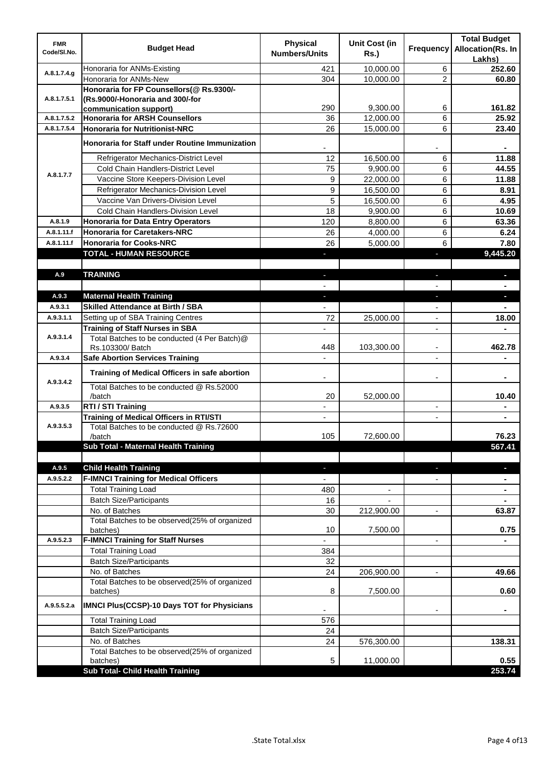| Honoraria for ANMs-Existing<br>6<br>252.60<br>10,000.00<br>421<br>A.8.1.7.4.g<br>Honoraria for ANMs-New<br>2<br>304<br>10,000.00<br>60.80<br>Honoraria for FP Counsellors(@ Rs.9300/-<br>(Rs.9000/-Honoraria and 300/-for<br>A.8.1.7.5.1<br>290<br>161.82<br>9,300.00<br>6<br>communication support)<br>6<br><b>Honoraria for ARSH Counsellors</b><br>A.8.1.7.5.2<br>36<br>12,000.00<br>25.92<br>6<br><b>Honoraria for Nutritionist-NRC</b><br>A.8.1.7.5.4<br>26<br>15.000.00<br>23.40<br>Honoraria for Staff under Routine Immunization<br>12<br>16,500.00<br>6<br>11.88<br>Refrigerator Mechanics-District Level<br>6<br>Cold Chain Handlers-District Level<br>75<br>44.55<br>9,900.00<br>A.8.1.7.7<br>6<br>Vaccine Store Keepers-Division Level<br>9<br>11.88<br>22,000.00<br>9<br>6<br>Refrigerator Mechanics-Division Level<br>16,500.00<br>8.91<br>5<br>6<br>Vaccine Van Drivers-Division Level<br>16,500.00<br>4.95<br>6<br>Cold Chain Handlers-Division Level<br>18<br>9,900.00<br>10.69<br>6<br>120<br>A.8.1.9<br>Honoraria for Data Entry Operators<br>8,800.00<br>63.36<br><b>Honoraria for Caretakers-NRC</b><br>6<br>26<br>4,000.00<br>6.24<br>A.8.1.11.f<br>6<br><b>Honoraria for Cooks-NRC</b><br>7.80<br>A.8.1.11.f<br>26<br>5,000.00<br>9,445.20<br><b>TOTAL - HUMAN RESOURCE</b><br>ı<br>A.9<br><b>TRAINING</b><br>$\blacksquare$<br>$\blacksquare$<br>$\overline{\phantom{a}}$<br>$\blacksquare$<br>$\blacksquare$<br>A.9.3<br><b>Maternal Health Training</b><br>÷<br>$\blacksquare$<br>D.<br><b>Skilled Attendance at Birth / SBA</b><br>A.9.3.1<br>٠<br>Setting up of SBA Training Centres<br>72<br>A.9.3.1.1<br>25,000.00<br>18.00<br><b>Training of Staff Nurses in SBA</b><br>٠<br>A.9.3.1.4<br>Total Batches to be conducted (4 Per Batch)@<br>448<br>462.78<br>103,300.00<br>Rs.103300/ Batch<br>A.9.3.4<br><b>Safe Abortion Services Training</b><br>$\overline{a}$<br>Training of Medical Officers in safe abortion<br>A.9.3.4.2<br>Total Batches to be conducted @ Rs.52000<br>20<br>52,000.00<br>10.40<br>/batch<br>RTI / STI Training<br>A.9.3.5<br>$\overline{\phantom{0}}$<br>$\overline{\phantom{a}}$<br><b>Training of Medical Officers in RTI/STI</b><br>$\overline{\phantom{0}}$<br>$\blacksquare$<br>$\overline{\phantom{a}}$<br>A.9.3.5.3<br>Total Batches to be conducted @ Rs.72600<br>72,600.00<br>76.23<br>105<br>/batch<br>Sub Total - Maternal Health Training<br>567.41<br>A.9.5<br><b>Child Health Training</b><br>J,<br><b>F-IMNCI Training for Medical Officers</b><br>A.9.5.2.2<br><b>Total Training Load</b><br>480<br>÷,<br><b>Batch Size/Participants</b><br>16<br>No. of Batches<br>30<br>212,900.00<br>63.87<br>÷.<br>Total Batches to be observed(25% of organized<br>10<br>7,500.00<br>0.75<br>batches)<br><b>F-IMNCI Training for Staff Nurses</b><br>A.9.5.2.3<br>$\blacksquare$<br><b>Total Training Load</b><br>384<br><b>Batch Size/Participants</b><br>32<br>No. of Batches<br>24<br>206,900.00<br>49.66<br>Total Batches to be observed(25% of organized<br>8<br>7,500.00<br>0.60<br>batches)<br>IMNCI Plus(CCSP)-10 Days TOT for Physicians<br>A.9.5.5.2.a<br>٠<br><b>Total Training Load</b><br>576<br><b>Batch Size/Participants</b><br>24<br>No. of Batches<br>138.31<br>24<br>576,300.00<br>Total Batches to be observed(25% of organized<br>5<br>11,000.00<br>0.55<br>batches)<br>Sub Total- Child Health Training<br>253.74 | <b>FMR</b><br>Code/SI.No. | <b>Budget Head</b> | <b>Physical</b><br><b>Numbers/Units</b> | <b>Unit Cost (in</b><br><b>Rs.)</b> | Frequency | <b>Total Budget</b><br><b>Allocation(Rs. In</b> |
|-----------------------------------------------------------------------------------------------------------------------------------------------------------------------------------------------------------------------------------------------------------------------------------------------------------------------------------------------------------------------------------------------------------------------------------------------------------------------------------------------------------------------------------------------------------------------------------------------------------------------------------------------------------------------------------------------------------------------------------------------------------------------------------------------------------------------------------------------------------------------------------------------------------------------------------------------------------------------------------------------------------------------------------------------------------------------------------------------------------------------------------------------------------------------------------------------------------------------------------------------------------------------------------------------------------------------------------------------------------------------------------------------------------------------------------------------------------------------------------------------------------------------------------------------------------------------------------------------------------------------------------------------------------------------------------------------------------------------------------------------------------------------------------------------------------------------------------------------------------------------------------------------------------------------------------------------------------------------------------------------------------------------------------------------------------------------------------------------------------------------------------------------------------------------------------------------------------------------------------------------------------------------------------------------------------------------------------------------------------------------------------------------------------------------------------------------------------------------------------------------------------------------------------------------------------------------------------------------------------------------------------------------------------------------------------------------------------------------------------------------------------------------------------------------------------------------------------------------------------------------------------------------------------------------------------------------------------------------------------------------------------------------------------------------------------------------------------------------------------------------------------------------------------------------------------------------------------------------------------------------------------------------------------------------------------------------------------------------------------------------------------------------------|---------------------------|--------------------|-----------------------------------------|-------------------------------------|-----------|-------------------------------------------------|
|                                                                                                                                                                                                                                                                                                                                                                                                                                                                                                                                                                                                                                                                                                                                                                                                                                                                                                                                                                                                                                                                                                                                                                                                                                                                                                                                                                                                                                                                                                                                                                                                                                                                                                                                                                                                                                                                                                                                                                                                                                                                                                                                                                                                                                                                                                                                                                                                                                                                                                                                                                                                                                                                                                                                                                                                                                                                                                                                                                                                                                                                                                                                                                                                                                                                                                                                                                                                     |                           |                    |                                         |                                     |           | Lakhs)                                          |
|                                                                                                                                                                                                                                                                                                                                                                                                                                                                                                                                                                                                                                                                                                                                                                                                                                                                                                                                                                                                                                                                                                                                                                                                                                                                                                                                                                                                                                                                                                                                                                                                                                                                                                                                                                                                                                                                                                                                                                                                                                                                                                                                                                                                                                                                                                                                                                                                                                                                                                                                                                                                                                                                                                                                                                                                                                                                                                                                                                                                                                                                                                                                                                                                                                                                                                                                                                                                     |                           |                    |                                         |                                     |           |                                                 |
|                                                                                                                                                                                                                                                                                                                                                                                                                                                                                                                                                                                                                                                                                                                                                                                                                                                                                                                                                                                                                                                                                                                                                                                                                                                                                                                                                                                                                                                                                                                                                                                                                                                                                                                                                                                                                                                                                                                                                                                                                                                                                                                                                                                                                                                                                                                                                                                                                                                                                                                                                                                                                                                                                                                                                                                                                                                                                                                                                                                                                                                                                                                                                                                                                                                                                                                                                                                                     |                           |                    |                                         |                                     |           |                                                 |
|                                                                                                                                                                                                                                                                                                                                                                                                                                                                                                                                                                                                                                                                                                                                                                                                                                                                                                                                                                                                                                                                                                                                                                                                                                                                                                                                                                                                                                                                                                                                                                                                                                                                                                                                                                                                                                                                                                                                                                                                                                                                                                                                                                                                                                                                                                                                                                                                                                                                                                                                                                                                                                                                                                                                                                                                                                                                                                                                                                                                                                                                                                                                                                                                                                                                                                                                                                                                     |                           |                    |                                         |                                     |           |                                                 |
|                                                                                                                                                                                                                                                                                                                                                                                                                                                                                                                                                                                                                                                                                                                                                                                                                                                                                                                                                                                                                                                                                                                                                                                                                                                                                                                                                                                                                                                                                                                                                                                                                                                                                                                                                                                                                                                                                                                                                                                                                                                                                                                                                                                                                                                                                                                                                                                                                                                                                                                                                                                                                                                                                                                                                                                                                                                                                                                                                                                                                                                                                                                                                                                                                                                                                                                                                                                                     |                           |                    |                                         |                                     |           |                                                 |
|                                                                                                                                                                                                                                                                                                                                                                                                                                                                                                                                                                                                                                                                                                                                                                                                                                                                                                                                                                                                                                                                                                                                                                                                                                                                                                                                                                                                                                                                                                                                                                                                                                                                                                                                                                                                                                                                                                                                                                                                                                                                                                                                                                                                                                                                                                                                                                                                                                                                                                                                                                                                                                                                                                                                                                                                                                                                                                                                                                                                                                                                                                                                                                                                                                                                                                                                                                                                     |                           |                    |                                         |                                     |           |                                                 |
|                                                                                                                                                                                                                                                                                                                                                                                                                                                                                                                                                                                                                                                                                                                                                                                                                                                                                                                                                                                                                                                                                                                                                                                                                                                                                                                                                                                                                                                                                                                                                                                                                                                                                                                                                                                                                                                                                                                                                                                                                                                                                                                                                                                                                                                                                                                                                                                                                                                                                                                                                                                                                                                                                                                                                                                                                                                                                                                                                                                                                                                                                                                                                                                                                                                                                                                                                                                                     |                           |                    |                                         |                                     |           |                                                 |
|                                                                                                                                                                                                                                                                                                                                                                                                                                                                                                                                                                                                                                                                                                                                                                                                                                                                                                                                                                                                                                                                                                                                                                                                                                                                                                                                                                                                                                                                                                                                                                                                                                                                                                                                                                                                                                                                                                                                                                                                                                                                                                                                                                                                                                                                                                                                                                                                                                                                                                                                                                                                                                                                                                                                                                                                                                                                                                                                                                                                                                                                                                                                                                                                                                                                                                                                                                                                     |                           |                    |                                         |                                     |           |                                                 |
|                                                                                                                                                                                                                                                                                                                                                                                                                                                                                                                                                                                                                                                                                                                                                                                                                                                                                                                                                                                                                                                                                                                                                                                                                                                                                                                                                                                                                                                                                                                                                                                                                                                                                                                                                                                                                                                                                                                                                                                                                                                                                                                                                                                                                                                                                                                                                                                                                                                                                                                                                                                                                                                                                                                                                                                                                                                                                                                                                                                                                                                                                                                                                                                                                                                                                                                                                                                                     |                           |                    |                                         |                                     |           |                                                 |
|                                                                                                                                                                                                                                                                                                                                                                                                                                                                                                                                                                                                                                                                                                                                                                                                                                                                                                                                                                                                                                                                                                                                                                                                                                                                                                                                                                                                                                                                                                                                                                                                                                                                                                                                                                                                                                                                                                                                                                                                                                                                                                                                                                                                                                                                                                                                                                                                                                                                                                                                                                                                                                                                                                                                                                                                                                                                                                                                                                                                                                                                                                                                                                                                                                                                                                                                                                                                     |                           |                    |                                         |                                     |           |                                                 |
|                                                                                                                                                                                                                                                                                                                                                                                                                                                                                                                                                                                                                                                                                                                                                                                                                                                                                                                                                                                                                                                                                                                                                                                                                                                                                                                                                                                                                                                                                                                                                                                                                                                                                                                                                                                                                                                                                                                                                                                                                                                                                                                                                                                                                                                                                                                                                                                                                                                                                                                                                                                                                                                                                                                                                                                                                                                                                                                                                                                                                                                                                                                                                                                                                                                                                                                                                                                                     |                           |                    |                                         |                                     |           |                                                 |
|                                                                                                                                                                                                                                                                                                                                                                                                                                                                                                                                                                                                                                                                                                                                                                                                                                                                                                                                                                                                                                                                                                                                                                                                                                                                                                                                                                                                                                                                                                                                                                                                                                                                                                                                                                                                                                                                                                                                                                                                                                                                                                                                                                                                                                                                                                                                                                                                                                                                                                                                                                                                                                                                                                                                                                                                                                                                                                                                                                                                                                                                                                                                                                                                                                                                                                                                                                                                     |                           |                    |                                         |                                     |           |                                                 |
|                                                                                                                                                                                                                                                                                                                                                                                                                                                                                                                                                                                                                                                                                                                                                                                                                                                                                                                                                                                                                                                                                                                                                                                                                                                                                                                                                                                                                                                                                                                                                                                                                                                                                                                                                                                                                                                                                                                                                                                                                                                                                                                                                                                                                                                                                                                                                                                                                                                                                                                                                                                                                                                                                                                                                                                                                                                                                                                                                                                                                                                                                                                                                                                                                                                                                                                                                                                                     |                           |                    |                                         |                                     |           |                                                 |
|                                                                                                                                                                                                                                                                                                                                                                                                                                                                                                                                                                                                                                                                                                                                                                                                                                                                                                                                                                                                                                                                                                                                                                                                                                                                                                                                                                                                                                                                                                                                                                                                                                                                                                                                                                                                                                                                                                                                                                                                                                                                                                                                                                                                                                                                                                                                                                                                                                                                                                                                                                                                                                                                                                                                                                                                                                                                                                                                                                                                                                                                                                                                                                                                                                                                                                                                                                                                     |                           |                    |                                         |                                     |           |                                                 |
|                                                                                                                                                                                                                                                                                                                                                                                                                                                                                                                                                                                                                                                                                                                                                                                                                                                                                                                                                                                                                                                                                                                                                                                                                                                                                                                                                                                                                                                                                                                                                                                                                                                                                                                                                                                                                                                                                                                                                                                                                                                                                                                                                                                                                                                                                                                                                                                                                                                                                                                                                                                                                                                                                                                                                                                                                                                                                                                                                                                                                                                                                                                                                                                                                                                                                                                                                                                                     |                           |                    |                                         |                                     |           |                                                 |
|                                                                                                                                                                                                                                                                                                                                                                                                                                                                                                                                                                                                                                                                                                                                                                                                                                                                                                                                                                                                                                                                                                                                                                                                                                                                                                                                                                                                                                                                                                                                                                                                                                                                                                                                                                                                                                                                                                                                                                                                                                                                                                                                                                                                                                                                                                                                                                                                                                                                                                                                                                                                                                                                                                                                                                                                                                                                                                                                                                                                                                                                                                                                                                                                                                                                                                                                                                                                     |                           |                    |                                         |                                     |           |                                                 |
|                                                                                                                                                                                                                                                                                                                                                                                                                                                                                                                                                                                                                                                                                                                                                                                                                                                                                                                                                                                                                                                                                                                                                                                                                                                                                                                                                                                                                                                                                                                                                                                                                                                                                                                                                                                                                                                                                                                                                                                                                                                                                                                                                                                                                                                                                                                                                                                                                                                                                                                                                                                                                                                                                                                                                                                                                                                                                                                                                                                                                                                                                                                                                                                                                                                                                                                                                                                                     |                           |                    |                                         |                                     |           |                                                 |
|                                                                                                                                                                                                                                                                                                                                                                                                                                                                                                                                                                                                                                                                                                                                                                                                                                                                                                                                                                                                                                                                                                                                                                                                                                                                                                                                                                                                                                                                                                                                                                                                                                                                                                                                                                                                                                                                                                                                                                                                                                                                                                                                                                                                                                                                                                                                                                                                                                                                                                                                                                                                                                                                                                                                                                                                                                                                                                                                                                                                                                                                                                                                                                                                                                                                                                                                                                                                     |                           |                    |                                         |                                     |           |                                                 |
|                                                                                                                                                                                                                                                                                                                                                                                                                                                                                                                                                                                                                                                                                                                                                                                                                                                                                                                                                                                                                                                                                                                                                                                                                                                                                                                                                                                                                                                                                                                                                                                                                                                                                                                                                                                                                                                                                                                                                                                                                                                                                                                                                                                                                                                                                                                                                                                                                                                                                                                                                                                                                                                                                                                                                                                                                                                                                                                                                                                                                                                                                                                                                                                                                                                                                                                                                                                                     |                           |                    |                                         |                                     |           |                                                 |
|                                                                                                                                                                                                                                                                                                                                                                                                                                                                                                                                                                                                                                                                                                                                                                                                                                                                                                                                                                                                                                                                                                                                                                                                                                                                                                                                                                                                                                                                                                                                                                                                                                                                                                                                                                                                                                                                                                                                                                                                                                                                                                                                                                                                                                                                                                                                                                                                                                                                                                                                                                                                                                                                                                                                                                                                                                                                                                                                                                                                                                                                                                                                                                                                                                                                                                                                                                                                     |                           |                    |                                         |                                     |           |                                                 |
|                                                                                                                                                                                                                                                                                                                                                                                                                                                                                                                                                                                                                                                                                                                                                                                                                                                                                                                                                                                                                                                                                                                                                                                                                                                                                                                                                                                                                                                                                                                                                                                                                                                                                                                                                                                                                                                                                                                                                                                                                                                                                                                                                                                                                                                                                                                                                                                                                                                                                                                                                                                                                                                                                                                                                                                                                                                                                                                                                                                                                                                                                                                                                                                                                                                                                                                                                                                                     |                           |                    |                                         |                                     |           |                                                 |
|                                                                                                                                                                                                                                                                                                                                                                                                                                                                                                                                                                                                                                                                                                                                                                                                                                                                                                                                                                                                                                                                                                                                                                                                                                                                                                                                                                                                                                                                                                                                                                                                                                                                                                                                                                                                                                                                                                                                                                                                                                                                                                                                                                                                                                                                                                                                                                                                                                                                                                                                                                                                                                                                                                                                                                                                                                                                                                                                                                                                                                                                                                                                                                                                                                                                                                                                                                                                     |                           |                    |                                         |                                     |           |                                                 |
|                                                                                                                                                                                                                                                                                                                                                                                                                                                                                                                                                                                                                                                                                                                                                                                                                                                                                                                                                                                                                                                                                                                                                                                                                                                                                                                                                                                                                                                                                                                                                                                                                                                                                                                                                                                                                                                                                                                                                                                                                                                                                                                                                                                                                                                                                                                                                                                                                                                                                                                                                                                                                                                                                                                                                                                                                                                                                                                                                                                                                                                                                                                                                                                                                                                                                                                                                                                                     |                           |                    |                                         |                                     |           |                                                 |
|                                                                                                                                                                                                                                                                                                                                                                                                                                                                                                                                                                                                                                                                                                                                                                                                                                                                                                                                                                                                                                                                                                                                                                                                                                                                                                                                                                                                                                                                                                                                                                                                                                                                                                                                                                                                                                                                                                                                                                                                                                                                                                                                                                                                                                                                                                                                                                                                                                                                                                                                                                                                                                                                                                                                                                                                                                                                                                                                                                                                                                                                                                                                                                                                                                                                                                                                                                                                     |                           |                    |                                         |                                     |           |                                                 |
|                                                                                                                                                                                                                                                                                                                                                                                                                                                                                                                                                                                                                                                                                                                                                                                                                                                                                                                                                                                                                                                                                                                                                                                                                                                                                                                                                                                                                                                                                                                                                                                                                                                                                                                                                                                                                                                                                                                                                                                                                                                                                                                                                                                                                                                                                                                                                                                                                                                                                                                                                                                                                                                                                                                                                                                                                                                                                                                                                                                                                                                                                                                                                                                                                                                                                                                                                                                                     |                           |                    |                                         |                                     |           |                                                 |
|                                                                                                                                                                                                                                                                                                                                                                                                                                                                                                                                                                                                                                                                                                                                                                                                                                                                                                                                                                                                                                                                                                                                                                                                                                                                                                                                                                                                                                                                                                                                                                                                                                                                                                                                                                                                                                                                                                                                                                                                                                                                                                                                                                                                                                                                                                                                                                                                                                                                                                                                                                                                                                                                                                                                                                                                                                                                                                                                                                                                                                                                                                                                                                                                                                                                                                                                                                                                     |                           |                    |                                         |                                     |           |                                                 |
|                                                                                                                                                                                                                                                                                                                                                                                                                                                                                                                                                                                                                                                                                                                                                                                                                                                                                                                                                                                                                                                                                                                                                                                                                                                                                                                                                                                                                                                                                                                                                                                                                                                                                                                                                                                                                                                                                                                                                                                                                                                                                                                                                                                                                                                                                                                                                                                                                                                                                                                                                                                                                                                                                                                                                                                                                                                                                                                                                                                                                                                                                                                                                                                                                                                                                                                                                                                                     |                           |                    |                                         |                                     |           |                                                 |
|                                                                                                                                                                                                                                                                                                                                                                                                                                                                                                                                                                                                                                                                                                                                                                                                                                                                                                                                                                                                                                                                                                                                                                                                                                                                                                                                                                                                                                                                                                                                                                                                                                                                                                                                                                                                                                                                                                                                                                                                                                                                                                                                                                                                                                                                                                                                                                                                                                                                                                                                                                                                                                                                                                                                                                                                                                                                                                                                                                                                                                                                                                                                                                                                                                                                                                                                                                                                     |                           |                    |                                         |                                     |           |                                                 |
|                                                                                                                                                                                                                                                                                                                                                                                                                                                                                                                                                                                                                                                                                                                                                                                                                                                                                                                                                                                                                                                                                                                                                                                                                                                                                                                                                                                                                                                                                                                                                                                                                                                                                                                                                                                                                                                                                                                                                                                                                                                                                                                                                                                                                                                                                                                                                                                                                                                                                                                                                                                                                                                                                                                                                                                                                                                                                                                                                                                                                                                                                                                                                                                                                                                                                                                                                                                                     |                           |                    |                                         |                                     |           |                                                 |
|                                                                                                                                                                                                                                                                                                                                                                                                                                                                                                                                                                                                                                                                                                                                                                                                                                                                                                                                                                                                                                                                                                                                                                                                                                                                                                                                                                                                                                                                                                                                                                                                                                                                                                                                                                                                                                                                                                                                                                                                                                                                                                                                                                                                                                                                                                                                                                                                                                                                                                                                                                                                                                                                                                                                                                                                                                                                                                                                                                                                                                                                                                                                                                                                                                                                                                                                                                                                     |                           |                    |                                         |                                     |           |                                                 |
|                                                                                                                                                                                                                                                                                                                                                                                                                                                                                                                                                                                                                                                                                                                                                                                                                                                                                                                                                                                                                                                                                                                                                                                                                                                                                                                                                                                                                                                                                                                                                                                                                                                                                                                                                                                                                                                                                                                                                                                                                                                                                                                                                                                                                                                                                                                                                                                                                                                                                                                                                                                                                                                                                                                                                                                                                                                                                                                                                                                                                                                                                                                                                                                                                                                                                                                                                                                                     |                           |                    |                                         |                                     |           |                                                 |
|                                                                                                                                                                                                                                                                                                                                                                                                                                                                                                                                                                                                                                                                                                                                                                                                                                                                                                                                                                                                                                                                                                                                                                                                                                                                                                                                                                                                                                                                                                                                                                                                                                                                                                                                                                                                                                                                                                                                                                                                                                                                                                                                                                                                                                                                                                                                                                                                                                                                                                                                                                                                                                                                                                                                                                                                                                                                                                                                                                                                                                                                                                                                                                                                                                                                                                                                                                                                     |                           |                    |                                         |                                     |           |                                                 |
|                                                                                                                                                                                                                                                                                                                                                                                                                                                                                                                                                                                                                                                                                                                                                                                                                                                                                                                                                                                                                                                                                                                                                                                                                                                                                                                                                                                                                                                                                                                                                                                                                                                                                                                                                                                                                                                                                                                                                                                                                                                                                                                                                                                                                                                                                                                                                                                                                                                                                                                                                                                                                                                                                                                                                                                                                                                                                                                                                                                                                                                                                                                                                                                                                                                                                                                                                                                                     |                           |                    |                                         |                                     |           |                                                 |
|                                                                                                                                                                                                                                                                                                                                                                                                                                                                                                                                                                                                                                                                                                                                                                                                                                                                                                                                                                                                                                                                                                                                                                                                                                                                                                                                                                                                                                                                                                                                                                                                                                                                                                                                                                                                                                                                                                                                                                                                                                                                                                                                                                                                                                                                                                                                                                                                                                                                                                                                                                                                                                                                                                                                                                                                                                                                                                                                                                                                                                                                                                                                                                                                                                                                                                                                                                                                     |                           |                    |                                         |                                     |           |                                                 |
|                                                                                                                                                                                                                                                                                                                                                                                                                                                                                                                                                                                                                                                                                                                                                                                                                                                                                                                                                                                                                                                                                                                                                                                                                                                                                                                                                                                                                                                                                                                                                                                                                                                                                                                                                                                                                                                                                                                                                                                                                                                                                                                                                                                                                                                                                                                                                                                                                                                                                                                                                                                                                                                                                                                                                                                                                                                                                                                                                                                                                                                                                                                                                                                                                                                                                                                                                                                                     |                           |                    |                                         |                                     |           |                                                 |
|                                                                                                                                                                                                                                                                                                                                                                                                                                                                                                                                                                                                                                                                                                                                                                                                                                                                                                                                                                                                                                                                                                                                                                                                                                                                                                                                                                                                                                                                                                                                                                                                                                                                                                                                                                                                                                                                                                                                                                                                                                                                                                                                                                                                                                                                                                                                                                                                                                                                                                                                                                                                                                                                                                                                                                                                                                                                                                                                                                                                                                                                                                                                                                                                                                                                                                                                                                                                     |                           |                    |                                         |                                     |           |                                                 |
|                                                                                                                                                                                                                                                                                                                                                                                                                                                                                                                                                                                                                                                                                                                                                                                                                                                                                                                                                                                                                                                                                                                                                                                                                                                                                                                                                                                                                                                                                                                                                                                                                                                                                                                                                                                                                                                                                                                                                                                                                                                                                                                                                                                                                                                                                                                                                                                                                                                                                                                                                                                                                                                                                                                                                                                                                                                                                                                                                                                                                                                                                                                                                                                                                                                                                                                                                                                                     |                           |                    |                                         |                                     |           |                                                 |
|                                                                                                                                                                                                                                                                                                                                                                                                                                                                                                                                                                                                                                                                                                                                                                                                                                                                                                                                                                                                                                                                                                                                                                                                                                                                                                                                                                                                                                                                                                                                                                                                                                                                                                                                                                                                                                                                                                                                                                                                                                                                                                                                                                                                                                                                                                                                                                                                                                                                                                                                                                                                                                                                                                                                                                                                                                                                                                                                                                                                                                                                                                                                                                                                                                                                                                                                                                                                     |                           |                    |                                         |                                     |           |                                                 |
|                                                                                                                                                                                                                                                                                                                                                                                                                                                                                                                                                                                                                                                                                                                                                                                                                                                                                                                                                                                                                                                                                                                                                                                                                                                                                                                                                                                                                                                                                                                                                                                                                                                                                                                                                                                                                                                                                                                                                                                                                                                                                                                                                                                                                                                                                                                                                                                                                                                                                                                                                                                                                                                                                                                                                                                                                                                                                                                                                                                                                                                                                                                                                                                                                                                                                                                                                                                                     |                           |                    |                                         |                                     |           |                                                 |
|                                                                                                                                                                                                                                                                                                                                                                                                                                                                                                                                                                                                                                                                                                                                                                                                                                                                                                                                                                                                                                                                                                                                                                                                                                                                                                                                                                                                                                                                                                                                                                                                                                                                                                                                                                                                                                                                                                                                                                                                                                                                                                                                                                                                                                                                                                                                                                                                                                                                                                                                                                                                                                                                                                                                                                                                                                                                                                                                                                                                                                                                                                                                                                                                                                                                                                                                                                                                     |                           |                    |                                         |                                     |           |                                                 |
|                                                                                                                                                                                                                                                                                                                                                                                                                                                                                                                                                                                                                                                                                                                                                                                                                                                                                                                                                                                                                                                                                                                                                                                                                                                                                                                                                                                                                                                                                                                                                                                                                                                                                                                                                                                                                                                                                                                                                                                                                                                                                                                                                                                                                                                                                                                                                                                                                                                                                                                                                                                                                                                                                                                                                                                                                                                                                                                                                                                                                                                                                                                                                                                                                                                                                                                                                                                                     |                           |                    |                                         |                                     |           |                                                 |
|                                                                                                                                                                                                                                                                                                                                                                                                                                                                                                                                                                                                                                                                                                                                                                                                                                                                                                                                                                                                                                                                                                                                                                                                                                                                                                                                                                                                                                                                                                                                                                                                                                                                                                                                                                                                                                                                                                                                                                                                                                                                                                                                                                                                                                                                                                                                                                                                                                                                                                                                                                                                                                                                                                                                                                                                                                                                                                                                                                                                                                                                                                                                                                                                                                                                                                                                                                                                     |                           |                    |                                         |                                     |           |                                                 |
|                                                                                                                                                                                                                                                                                                                                                                                                                                                                                                                                                                                                                                                                                                                                                                                                                                                                                                                                                                                                                                                                                                                                                                                                                                                                                                                                                                                                                                                                                                                                                                                                                                                                                                                                                                                                                                                                                                                                                                                                                                                                                                                                                                                                                                                                                                                                                                                                                                                                                                                                                                                                                                                                                                                                                                                                                                                                                                                                                                                                                                                                                                                                                                                                                                                                                                                                                                                                     |                           |                    |                                         |                                     |           |                                                 |
|                                                                                                                                                                                                                                                                                                                                                                                                                                                                                                                                                                                                                                                                                                                                                                                                                                                                                                                                                                                                                                                                                                                                                                                                                                                                                                                                                                                                                                                                                                                                                                                                                                                                                                                                                                                                                                                                                                                                                                                                                                                                                                                                                                                                                                                                                                                                                                                                                                                                                                                                                                                                                                                                                                                                                                                                                                                                                                                                                                                                                                                                                                                                                                                                                                                                                                                                                                                                     |                           |                    |                                         |                                     |           |                                                 |
|                                                                                                                                                                                                                                                                                                                                                                                                                                                                                                                                                                                                                                                                                                                                                                                                                                                                                                                                                                                                                                                                                                                                                                                                                                                                                                                                                                                                                                                                                                                                                                                                                                                                                                                                                                                                                                                                                                                                                                                                                                                                                                                                                                                                                                                                                                                                                                                                                                                                                                                                                                                                                                                                                                                                                                                                                                                                                                                                                                                                                                                                                                                                                                                                                                                                                                                                                                                                     |                           |                    |                                         |                                     |           |                                                 |
|                                                                                                                                                                                                                                                                                                                                                                                                                                                                                                                                                                                                                                                                                                                                                                                                                                                                                                                                                                                                                                                                                                                                                                                                                                                                                                                                                                                                                                                                                                                                                                                                                                                                                                                                                                                                                                                                                                                                                                                                                                                                                                                                                                                                                                                                                                                                                                                                                                                                                                                                                                                                                                                                                                                                                                                                                                                                                                                                                                                                                                                                                                                                                                                                                                                                                                                                                                                                     |                           |                    |                                         |                                     |           |                                                 |
|                                                                                                                                                                                                                                                                                                                                                                                                                                                                                                                                                                                                                                                                                                                                                                                                                                                                                                                                                                                                                                                                                                                                                                                                                                                                                                                                                                                                                                                                                                                                                                                                                                                                                                                                                                                                                                                                                                                                                                                                                                                                                                                                                                                                                                                                                                                                                                                                                                                                                                                                                                                                                                                                                                                                                                                                                                                                                                                                                                                                                                                                                                                                                                                                                                                                                                                                                                                                     |                           |                    |                                         |                                     |           |                                                 |
|                                                                                                                                                                                                                                                                                                                                                                                                                                                                                                                                                                                                                                                                                                                                                                                                                                                                                                                                                                                                                                                                                                                                                                                                                                                                                                                                                                                                                                                                                                                                                                                                                                                                                                                                                                                                                                                                                                                                                                                                                                                                                                                                                                                                                                                                                                                                                                                                                                                                                                                                                                                                                                                                                                                                                                                                                                                                                                                                                                                                                                                                                                                                                                                                                                                                                                                                                                                                     |                           |                    |                                         |                                     |           |                                                 |
|                                                                                                                                                                                                                                                                                                                                                                                                                                                                                                                                                                                                                                                                                                                                                                                                                                                                                                                                                                                                                                                                                                                                                                                                                                                                                                                                                                                                                                                                                                                                                                                                                                                                                                                                                                                                                                                                                                                                                                                                                                                                                                                                                                                                                                                                                                                                                                                                                                                                                                                                                                                                                                                                                                                                                                                                                                                                                                                                                                                                                                                                                                                                                                                                                                                                                                                                                                                                     |                           |                    |                                         |                                     |           |                                                 |
|                                                                                                                                                                                                                                                                                                                                                                                                                                                                                                                                                                                                                                                                                                                                                                                                                                                                                                                                                                                                                                                                                                                                                                                                                                                                                                                                                                                                                                                                                                                                                                                                                                                                                                                                                                                                                                                                                                                                                                                                                                                                                                                                                                                                                                                                                                                                                                                                                                                                                                                                                                                                                                                                                                                                                                                                                                                                                                                                                                                                                                                                                                                                                                                                                                                                                                                                                                                                     |                           |                    |                                         |                                     |           |                                                 |
|                                                                                                                                                                                                                                                                                                                                                                                                                                                                                                                                                                                                                                                                                                                                                                                                                                                                                                                                                                                                                                                                                                                                                                                                                                                                                                                                                                                                                                                                                                                                                                                                                                                                                                                                                                                                                                                                                                                                                                                                                                                                                                                                                                                                                                                                                                                                                                                                                                                                                                                                                                                                                                                                                                                                                                                                                                                                                                                                                                                                                                                                                                                                                                                                                                                                                                                                                                                                     |                           |                    |                                         |                                     |           |                                                 |
|                                                                                                                                                                                                                                                                                                                                                                                                                                                                                                                                                                                                                                                                                                                                                                                                                                                                                                                                                                                                                                                                                                                                                                                                                                                                                                                                                                                                                                                                                                                                                                                                                                                                                                                                                                                                                                                                                                                                                                                                                                                                                                                                                                                                                                                                                                                                                                                                                                                                                                                                                                                                                                                                                                                                                                                                                                                                                                                                                                                                                                                                                                                                                                                                                                                                                                                                                                                                     |                           |                    |                                         |                                     |           |                                                 |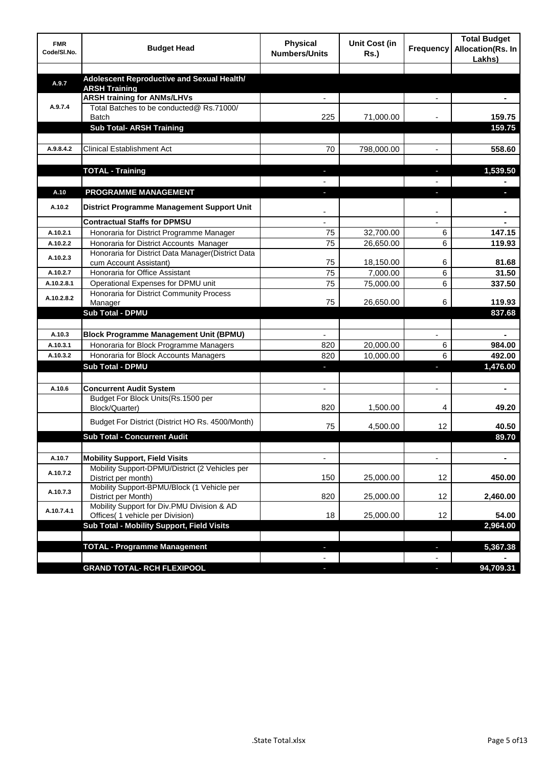| <b>FMR</b><br>Code/SI.No. | <b>Budget Head</b>                                                 | <b>Physical</b><br><b>Numbers/Units</b> | <b>Unit Cost (in</b><br><b>Rs.)</b> | Frequency | <b>Total Budget</b><br>Allocation(Rs. In<br>Lakhs) |
|---------------------------|--------------------------------------------------------------------|-----------------------------------------|-------------------------------------|-----------|----------------------------------------------------|
|                           |                                                                    |                                         |                                     |           |                                                    |
| A.9.7                     | Adolescent Reproductive and Sexual Health/<br><b>ARSH Training</b> |                                         |                                     |           |                                                    |
|                           | <b>ARSH training for ANMs/LHVs</b>                                 |                                         |                                     |           |                                                    |
| A.9.7.4                   | Total Batches to be conducted@ Rs.71000/<br>Batch                  | 225                                     | 71,000.00                           |           | 159.75                                             |
|                           | <b>Sub Total- ARSH Training</b>                                    |                                         |                                     |           | 159.75                                             |
|                           |                                                                    |                                         |                                     |           |                                                    |
| A.9.8.4.2                 | <b>Clinical Establishment Act</b>                                  | 70                                      | 798,000.00                          |           | 558.60                                             |
|                           |                                                                    |                                         |                                     |           |                                                    |
|                           | <b>TOTAL - Training</b>                                            |                                         |                                     |           | 1,539.50                                           |
|                           |                                                                    |                                         |                                     |           |                                                    |
| A.10                      | PROGRAMME MANAGEMENT                                               |                                         |                                     |           |                                                    |
| A.10.2                    | District Programme Management Support Unit                         |                                         |                                     |           |                                                    |
|                           | <b>Contractual Staffs for DPMSU</b>                                | $\overline{\phantom{0}}$                |                                     |           |                                                    |
| A.10.2.1                  | Honoraria for District Programme Manager                           | 75                                      | 32,700.00                           | 6         | 147.15                                             |
| A.10.2.2                  | Honoraria for District Accounts Manager                            | 75                                      | 26,650.00                           | 6         | 119.93                                             |
| A.10.2.3                  | Honoraria for District Data Manager(District Data                  |                                         |                                     |           |                                                    |
|                           | cum Account Assistant)                                             | 75                                      | 18,150.00                           | 6         | 81.68                                              |
| A.10.2.7                  | Honoraria for Office Assistant                                     | 75                                      | 7,000.00                            | 6         | 31.50                                              |
| A.10.2.8.1                | Operational Expenses for DPMU unit                                 | 75                                      | 75,000.00                           | 6         | 337.50                                             |
| A.10.2.8.2                | Honoraria for District Community Process<br>Manager                | 75                                      | 26,650.00                           | 6         | 119.93                                             |
|                           | Sub Total - DPMU                                                   |                                         |                                     |           | 837.68                                             |
|                           |                                                                    |                                         |                                     |           |                                                    |
| A.10.3                    | <b>Block Programme Management Unit (BPMU)</b>                      |                                         |                                     |           |                                                    |
| A.10.3.1                  | Honoraria for Block Programme Managers                             | 820                                     | 20,000.00                           | 6         | 984.00                                             |
| A.10.3.2                  | Honoraria for Block Accounts Managers                              | 820                                     | 10,000.00                           | 6         | 492.00                                             |
|                           | Sub Total - DPMU                                                   | P.                                      |                                     | E         | 1,476.00                                           |
|                           |                                                                    |                                         |                                     |           |                                                    |
| A.10.6                    | <b>Concurrent Audit System</b>                                     | ä,                                      |                                     | ä,        |                                                    |
|                           | Budget For Block Units(Rs.1500 per                                 |                                         |                                     |           |                                                    |
|                           | Block/Quarter)                                                     | 820                                     | 1,500.00                            | 4         | 49.20                                              |
|                           | Budget For District (District HO Rs. 4500/Month)                   |                                         |                                     |           |                                                    |
|                           | <b>Sub Total - Concurrent Audit</b>                                | 75                                      | 4,500.00                            | 12        | 40.50                                              |
|                           |                                                                    |                                         |                                     |           | 89.70                                              |
| A.10.7                    | <b>Mobility Support, Field Visits</b>                              | L.                                      |                                     |           |                                                    |
|                           | Mobility Support-DPMU/District (2 Vehicles per                     |                                         |                                     |           |                                                    |
| A.10.7.2                  | District per month)                                                | 150                                     | 25,000.00                           | 12        | 450.00                                             |
| A.10.7.3                  | Mobility Support-BPMU/Block (1 Vehicle per                         |                                         |                                     |           |                                                    |
|                           | District per Month)<br>Mobility Support for Div.PMU Division & AD  | 820                                     | 25,000.00                           | 12        | 2,460.00                                           |
| A.10.7.4.1                | Offices( 1 vehicle per Division)                                   | 18                                      | 25,000.00                           | 12        | 54.00                                              |
|                           | Sub Total - Mobility Support, Field Visits                         |                                         |                                     |           | 2,964.00                                           |
|                           |                                                                    |                                         |                                     |           |                                                    |
|                           | <b>TOTAL - Programme Management</b>                                |                                         |                                     | н         | 5,367.38                                           |
|                           |                                                                    |                                         |                                     |           |                                                    |
|                           | <b>GRAND TOTAL- RCH FLEXIPOOL</b>                                  |                                         |                                     |           | 94,709.31                                          |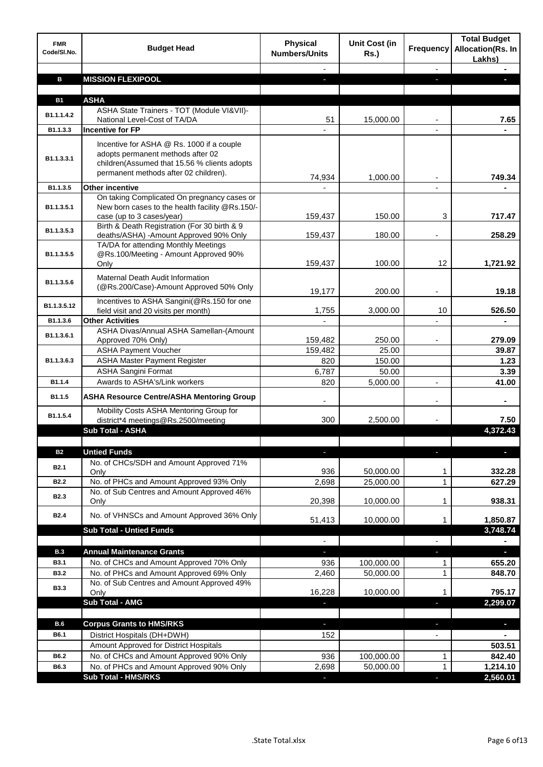| <b>FMR</b><br>Code/SI.No. | <b>Budget Head</b>                                                                                                                                                      | <b>Physical</b><br><b>Numbers/Units</b> | <b>Unit Cost (in</b><br><b>Rs.)</b> | <b>Frequency</b>         | <b>Total Budget</b><br>Allocation(Rs. In<br>Lakhs) |
|---------------------------|-------------------------------------------------------------------------------------------------------------------------------------------------------------------------|-----------------------------------------|-------------------------------------|--------------------------|----------------------------------------------------|
|                           |                                                                                                                                                                         |                                         |                                     |                          |                                                    |
| в                         | <b>MISSION FLEXIPOOL</b>                                                                                                                                                |                                         |                                     |                          |                                                    |
|                           |                                                                                                                                                                         |                                         |                                     |                          |                                                    |
| <b>B1</b>                 | <b>ASHA</b>                                                                                                                                                             |                                         |                                     |                          |                                                    |
| B1.1.1.4.2                | ASHA State Trainers - TOT (Module VI&VII)-<br>National Level-Cost of TA/DA                                                                                              | 51                                      | 15,000.00                           |                          | 7.65                                               |
| B1.1.3.3                  | <b>Incentive for FP</b>                                                                                                                                                 |                                         |                                     |                          |                                                    |
|                           |                                                                                                                                                                         |                                         |                                     |                          |                                                    |
| B1.1.3.3.1                | Incentive for ASHA @ Rs. 1000 if a couple<br>adopts permanent methods after 02<br>children(Assumed that 15.56 % clients adopts<br>permanent methods after 02 children). | 74,934                                  | 1,000.00                            |                          | 749.34                                             |
| B1.1.3.5                  | <b>Other incentive</b>                                                                                                                                                  |                                         |                                     |                          |                                                    |
| B1.1.3.5.1                | On taking Complicated On pregnancy cases or<br>New born cases to the health facility @Rs.150/-                                                                          |                                         |                                     |                          |                                                    |
|                           | case (up to 3 cases/year)                                                                                                                                               | 159,437                                 | 150.00                              | 3                        | 717.47                                             |
| B1.1.3.5.3                | Birth & Death Registration (For 30 birth & 9<br>deaths/ASHA) -Amount Approved 90% Only<br>TA/DA for attending Monthly Meetings                                          | 159,437                                 | 180.00                              |                          | 258.29                                             |
| B1.1.3.5.5                | @Rs.100/Meeting - Amount Approved 90%<br>Only                                                                                                                           | 159,437                                 | 100.00                              | 12                       | 1,721.92                                           |
| B1.1.3.5.6                | Maternal Death Audit Information<br>(@Rs.200/Case)-Amount Approved 50% Only                                                                                             | 19,177                                  | 200.00                              |                          | 19.18                                              |
| B1.1.3.5.12               | Incentives to ASHA Sangini(@Rs.150 for one<br>field visit and 20 visits per month)                                                                                      | 1,755                                   | 3,000.00                            | 10                       | 526.50                                             |
| B1.1.3.6                  | <b>Other Activities</b>                                                                                                                                                 | ٠                                       |                                     |                          |                                                    |
| B1.1.3.6.1                | ASHA Divas/Annual ASHA Samellan-(Amount                                                                                                                                 | 159,482                                 | 250.00                              |                          | 279.09                                             |
|                           | Approved 70% Only)<br><b>ASHA Payment Voucher</b>                                                                                                                       | 159,482                                 | 25.00                               |                          | 39.87                                              |
| B1.1.3.6.3                | ASHA Master Payment Register                                                                                                                                            | 820                                     | 150.00                              |                          | 1.23                                               |
|                           | <b>ASHA Sangini Format</b>                                                                                                                                              | 6,787                                   | 50.00                               |                          | 3.39                                               |
| B1.1.4                    | Awards to ASHA's/Link workers                                                                                                                                           | 820                                     | 5,000.00                            | $\blacksquare$           | 41.00                                              |
| B1.1.5                    | <b>ASHA Resource Centre/ASHA Mentoring Group</b>                                                                                                                        |                                         |                                     |                          |                                                    |
| B1.1.5.4                  | Mobility Costs ASHA Mentoring Group for<br>district*4 meetings@Rs.2500/meeting                                                                                          | 300                                     | 2,500.00                            |                          | 7.50                                               |
|                           | Sub Total - ASHA                                                                                                                                                        |                                         |                                     |                          | 4,372.43                                           |
|                           |                                                                                                                                                                         |                                         |                                     |                          |                                                    |
| <b>B2</b>                 | <b>Untied Funds</b>                                                                                                                                                     | ٠                                       |                                     | $\blacksquare$           | $\overline{\phantom{a}}$                           |
| <b>B2.1</b>               | No. of CHCs/SDH and Amount Approved 71%                                                                                                                                 |                                         |                                     |                          |                                                    |
| <b>B2.2</b>               | Only<br>No. of PHCs and Amount Approved 93% Only                                                                                                                        | 936                                     | 50,000.00<br>25,000.00              | $\mathbf{1}$             | 332.28                                             |
|                           | No. of Sub Centres and Amount Approved 46%                                                                                                                              | 2,698                                   |                                     |                          | 627.29                                             |
| B <sub>2.3</sub>          | Only                                                                                                                                                                    | 20,398                                  | 10,000.00                           | 1                        | 938.31                                             |
| <b>B2.4</b>               | No. of VHNSCs and Amount Approved 36% Only<br><b>Sub Total - Untied Funds</b>                                                                                           | 51,413                                  | 10,000.00                           |                          | 1,850.87<br>3,748.74                               |
|                           |                                                                                                                                                                         | $\blacksquare$                          |                                     | $\overline{\phantom{0}}$ |                                                    |
| <b>B.3</b>                | <b>Annual Maintenance Grants</b>                                                                                                                                        | E                                       |                                     | ٠                        | $\overline{\phantom{a}}$                           |
| <b>B3.1</b>               | No. of CHCs and Amount Approved 70% Only                                                                                                                                | 936                                     | 100,000.00                          | 1                        | 655.20                                             |
| <b>B3.2</b>               | No. of PHCs and Amount Approved 69% Only                                                                                                                                | 2,460                                   | 50,000.00                           | 1                        | 848.70                                             |
| <b>B3.3</b>               | No. of Sub Centres and Amount Approved 49%<br>Only                                                                                                                      | 16,228                                  | 10,000.00                           |                          | 795.17                                             |
|                           | <b>Sub Total - AMG</b>                                                                                                                                                  | r                                       |                                     | J,                       | 2,299.07                                           |
|                           |                                                                                                                                                                         |                                         |                                     |                          |                                                    |
| B.6                       | <b>Corpus Grants to HMS/RKS</b>                                                                                                                                         |                                         |                                     |                          | a.                                                 |
| B6.1                      | District Hospitals (DH+DWH)                                                                                                                                             | 152                                     |                                     |                          |                                                    |
|                           | Amount Approved for District Hospitals                                                                                                                                  |                                         |                                     |                          | 503.51                                             |
| B6.2                      | No. of CHCs and Amount Approved 90% Only                                                                                                                                | 936                                     | 100,000.00                          | $\mathbf{1}$             | 842.40                                             |
| B6.3                      | No. of PHCs and Amount Approved 90% Only                                                                                                                                | 2,698                                   | 50,000.00                           | $\mathbf{1}$             | 1,214.10                                           |
|                           | <b>Sub Total - HMS/RKS</b>                                                                                                                                              |                                         |                                     | ٠                        | 2,560.01                                           |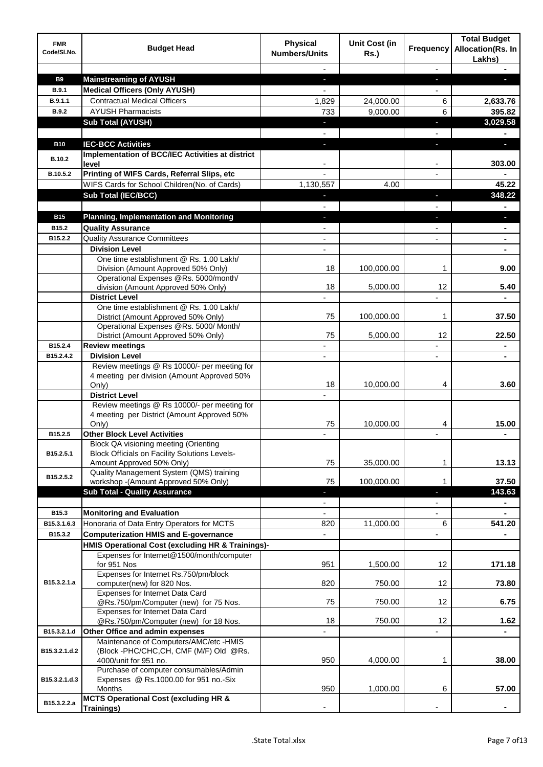| <b>FMR</b><br>Code/SI.No. | <b>Budget Head</b>                                                                                   | <b>Physical</b><br><b>Numbers/Units</b> | <b>Unit Cost (in</b><br><b>Rs.)</b> | <b>Frequency</b>         | <b>Total Budget</b><br><b>Allocation(Rs. In</b><br>Lakhs) |
|---------------------------|------------------------------------------------------------------------------------------------------|-----------------------------------------|-------------------------------------|--------------------------|-----------------------------------------------------------|
|                           |                                                                                                      |                                         |                                     |                          |                                                           |
| <b>B9</b>                 | <b>Mainstreaming of AYUSH</b>                                                                        | J.                                      |                                     | ٠                        | D                                                         |
| <b>B.9.1</b>              | <b>Medical Officers (Only AYUSH)</b>                                                                 |                                         |                                     |                          |                                                           |
| B.9.1.1                   | <b>Contractual Medical Officers</b>                                                                  | 1,829                                   | 24,000.00                           | 6                        | 2,633.76                                                  |
| <b>B.9.2</b>              | <b>AYUSH Pharmacists</b>                                                                             | 733                                     | 9,000.00                            | 6                        | 395.82                                                    |
|                           | <b>Sub Total (AYUSH)</b>                                                                             | J,                                      |                                     | ı                        | 3,029.58                                                  |
|                           |                                                                                                      |                                         |                                     |                          |                                                           |
| <b>B10</b>                | <b>IEC-BCC Activities</b>                                                                            |                                         |                                     |                          | ы                                                         |
| <b>B.10.2</b>             | Implementation of BCC/IEC Activities at district<br>level                                            |                                         |                                     |                          | 303.00                                                    |
| B.10.5.2                  | Printing of WIFS Cards, Referral Slips, etc                                                          |                                         |                                     |                          |                                                           |
|                           | WIFS Cards for School Children (No. of Cards)                                                        | 1,130,557                               | 4.00                                |                          | 45.22                                                     |
|                           | <b>Sub Total (IEC/BCC)</b>                                                                           | J,                                      |                                     | ÷                        | 348.22                                                    |
|                           |                                                                                                      | $\blacksquare$                          |                                     | $\overline{\phantom{0}}$ |                                                           |
| <b>B15</b>                | <b>Planning, Implementation and Monitoring</b>                                                       | o,                                      |                                     | ٠                        | $\blacksquare$                                            |
| B15.2                     | <b>Quality Assurance</b>                                                                             | $\blacksquare$                          |                                     |                          | $\blacksquare$                                            |
| B15.2.2                   | <b>Quality Assurance Committees</b>                                                                  | $\blacksquare$                          |                                     |                          | $\blacksquare$                                            |
|                           | <b>Division Level</b>                                                                                | $\blacksquare$                          |                                     |                          | $\blacksquare$                                            |
|                           | One time establishment @ Rs. 1.00 Lakh/                                                              |                                         |                                     |                          |                                                           |
|                           | Division (Amount Approved 50% Only)                                                                  | 18                                      | 100,000.00                          |                          | 9.00                                                      |
|                           | Operational Expenses @Rs. 5000/month/                                                                |                                         |                                     |                          |                                                           |
|                           | division (Amount Approved 50% Only)                                                                  | 18                                      | 5,000.00                            | 12                       | 5.40                                                      |
|                           | <b>District Level</b>                                                                                |                                         |                                     |                          |                                                           |
|                           | One time establishment @ Rs. 1.00 Lakh/                                                              |                                         |                                     |                          |                                                           |
|                           | District (Amount Approved 50% Only)                                                                  | 75                                      | 100,000.00                          | 1                        | 37.50                                                     |
|                           | Operational Expenses @Rs. 5000/Month/                                                                |                                         |                                     |                          |                                                           |
|                           | District (Amount Approved 50% Only)                                                                  | 75                                      | 5,000.00                            | 12                       | 22.50                                                     |
| B15.2.4                   | <b>Review meetings</b>                                                                               |                                         |                                     |                          |                                                           |
| B15.2.4.2                 | <b>Division Level</b>                                                                                |                                         |                                     |                          |                                                           |
|                           | Review meetings @ Rs 10000/- per meeting for<br>4 meeting per division (Amount Approved 50%<br>Only) | 18                                      | 10,000.00                           | 4                        | 3.60                                                      |
|                           | <b>District Level</b>                                                                                |                                         |                                     |                          |                                                           |
|                           | Review meetings @ Rs 10000/- per meeting for                                                         |                                         |                                     |                          |                                                           |
|                           | 4 meeting per District (Amount Approved 50%                                                          |                                         |                                     |                          |                                                           |
|                           | Only)                                                                                                | 75                                      | 10,000.00                           | 4                        | 15.00                                                     |
| B15.2.5                   | <b>Other Block Level Activities</b>                                                                  |                                         |                                     |                          |                                                           |
| B15.2.5.1                 | <b>Block QA visioning meeting (Orienting</b><br><b>Block Officials on Facility Solutions Levels-</b> |                                         |                                     |                          |                                                           |
|                           | Amount Approved 50% Only)                                                                            | 75                                      | 35,000.00                           | 1                        | 13.13                                                     |
|                           | Quality Management System (QMS) training                                                             |                                         |                                     |                          |                                                           |
| B15.2.5.2                 | workshop - (Amount Approved 50% Only)                                                                | 75                                      | 100,000.00                          | 1                        | 37.50                                                     |
|                           | <b>Sub Total - Quality Assurance</b>                                                                 |                                         |                                     |                          | 143.63                                                    |
|                           |                                                                                                      |                                         |                                     |                          |                                                           |
| B15.3                     | <b>Monitoring and Evaluation</b>                                                                     |                                         |                                     |                          |                                                           |
| B15.3.1.6.3               | Honoraria of Data Entry Operators for MCTS                                                           | 820                                     | 11,000.00                           | 6                        | 541.20                                                    |
| B15.3.2                   | <b>Computerization HMIS and E-governance</b>                                                         | $\blacksquare$                          |                                     |                          |                                                           |
|                           | HMIS Operational Cost (excluding HR & Trainings)-                                                    |                                         |                                     |                          |                                                           |
|                           | Expenses for Internet@1500/month/computer                                                            |                                         |                                     |                          |                                                           |
|                           | for 951 Nos                                                                                          | 951                                     | 1,500.00                            | 12                       | 171.18                                                    |
|                           | Expenses for Internet Rs.750/pm/block                                                                |                                         |                                     |                          |                                                           |
| B15.3.2.1.a               | computer(new) for 820 Nos.                                                                           | 820                                     | 750.00                              | 12                       | 73.80                                                     |
|                           | Expenses for Internet Data Card                                                                      | 75                                      |                                     | 12                       | 6.75                                                      |
|                           | @Rs.750/pm/Computer (new) for 75 Nos.<br>Expenses for Internet Data Card                             |                                         | 750.00                              |                          |                                                           |
|                           | @Rs.750/pm/Computer (new) for 18 Nos.                                                                | 18                                      | 750.00                              | 12                       | 1.62                                                      |
| B15.3.2.1.d               | Other Office and admin expenses                                                                      |                                         |                                     |                          |                                                           |
|                           | Maintenance of Computers/AMC/etc -HMIS                                                               |                                         |                                     |                          |                                                           |
| B15.3.2.1.d.2             | (Block -PHC/CHC,CH, CMF (M/F) Old @Rs.                                                               |                                         |                                     |                          |                                                           |
|                           | 4000/unit for 951 no.                                                                                | 950                                     | 4,000.00                            |                          | 38.00                                                     |
|                           | Purchase of computer consumables/Admin                                                               |                                         |                                     |                          |                                                           |
| B15.3.2.1.d.3             | Expenses @ Rs.1000.00 for 951 no.-Six                                                                |                                         |                                     |                          |                                                           |
|                           | Months                                                                                               | 950                                     | 1,000.00                            | 6                        | 57.00                                                     |
| B15.3.2.2.a               | <b>MCTS Operational Cost (excluding HR &amp;</b>                                                     |                                         |                                     |                          |                                                           |
|                           | <b>Trainings)</b>                                                                                    |                                         |                                     |                          |                                                           |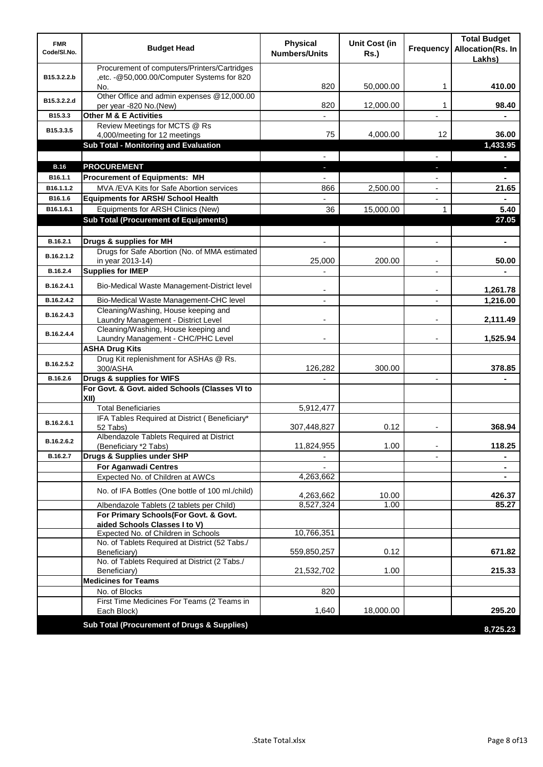| <b>FMR</b><br>Code/SI.No. | <b>Budget Head</b>                                                                                 | Physical<br><b>Numbers/Units</b> | <b>Unit Cost (in</b><br><b>Rs.)</b> | Frequency                | <b>Total Budget</b><br><b>Allocation(Rs. In</b><br>Lakhs) |
|---------------------------|----------------------------------------------------------------------------------------------------|----------------------------------|-------------------------------------|--------------------------|-----------------------------------------------------------|
| B15.3.2.2.b               | Procurement of computers/Printers/Cartridges<br>,etc. - @50,000.00/Computer Systems for 820<br>No. | 820                              | 50,000.00                           | 1                        | 410.00                                                    |
| B15.3.2.2.d               | Other Office and admin expenses @12,000.00<br>per year -820 No.(New)                               | 820                              | 12,000.00                           | 1                        | 98.40                                                     |
| B15.3.3                   | <b>Other M &amp; E Activities</b>                                                                  |                                  |                                     |                          |                                                           |
| B15.3.3.5                 | Review Meetings for MCTS @ Rs<br>4,000/meeting for 12 meetings                                     | 75                               | 4,000.00                            | 12                       | 36.00                                                     |
|                           | Sub Total - Monitoring and Evaluation                                                              |                                  |                                     |                          | 1,433.95                                                  |
| <b>B.16</b>               | <b>PROCUREMENT</b>                                                                                 | E                                |                                     | н                        | н                                                         |
| B16.1.1                   | <b>Procurement of Equipments: MH</b>                                                               |                                  |                                     |                          |                                                           |
| B16.1.1.2                 | MVA / EVA Kits for Safe Abortion services                                                          | 866                              | 2,500.00                            | ٠                        | 21.65                                                     |
| B16.1.6                   | <b>Equipments for ARSH/ School Health</b>                                                          | $\overline{\phantom{0}}$         |                                     | ٠                        | $\blacksquare$                                            |
| B16.1.6.1                 | Equipments for ARSH Clinics (New)                                                                  | 36                               | 15,000.00                           | 1                        | 5.40                                                      |
|                           | <b>Sub Total (Procurement of Equipments)</b>                                                       |                                  |                                     |                          | 27.05                                                     |
|                           |                                                                                                    |                                  |                                     |                          |                                                           |
| B.16.2.1                  | Drugs & supplies for MH                                                                            | ۰                                |                                     | $\overline{\phantom{a}}$ | $\blacksquare$                                            |
| B.16.2.1.2                | Drugs for Safe Abortion (No. of MMA estimated<br>in year 2013-14)                                  | 25,000                           | 200.00                              |                          | 50.00                                                     |
| B.16.2.4                  | <b>Supplies for IMEP</b>                                                                           |                                  |                                     |                          |                                                           |
| B.16.2.4.1                | Bio-Medical Waste Management-District level                                                        |                                  |                                     |                          | 1,261.78                                                  |
| B.16.2.4.2                | Bio-Medical Waste Management-CHC level                                                             |                                  |                                     |                          | 1,216.00                                                  |
| B.16.2.4.3                | Cleaning/Washing, House keeping and<br>Laundry Management - District Level                         | ٠                                |                                     | $\blacksquare$           | 2,111.49                                                  |
| B.16.2.4.4                | Cleaning/Washing, House keeping and<br>Laundry Management - CHC/PHC Level                          |                                  |                                     |                          | 1,525.94                                                  |
|                           | <b>ASHA Drug Kits</b>                                                                              |                                  |                                     |                          |                                                           |
| B.16.2.5.2                | Drug Kit replenishment for ASHAs @ Rs.<br>300/ASHA                                                 | 126,282                          | 300.00                              |                          | 378.85                                                    |
| B.16.2.6                  | Drugs & supplies for WIFS                                                                          |                                  |                                     | $\overline{\phantom{a}}$ |                                                           |
|                           | For Govt. & Govt. aided Schools (Classes VI to<br>XII)                                             |                                  |                                     |                          |                                                           |
|                           | <b>Total Beneficiaries</b>                                                                         | 5,912,477                        |                                     |                          |                                                           |
| B.16.2.6.1                | IFA Tables Required at District (Beneficiary*<br>52 Tabs)                                          | 307,448,827                      | 0.12                                |                          | 368.94                                                    |
| B.16.2.6.2                | Albendazole Tablets Required at District<br>(Beneficiary *2 Tabs)                                  | 11,824,955                       | 1.00                                |                          | 118.25                                                    |
| B.16.2.7                  | Drugs & Supplies under SHP                                                                         |                                  |                                     |                          | $\blacksquare$                                            |
|                           | <b>For Aganwadi Centres</b>                                                                        |                                  |                                     |                          | $\blacksquare$                                            |
|                           | Expected No. of Children at AWCs                                                                   | 4,263,662                        |                                     |                          |                                                           |
|                           | No. of IFA Bottles (One bottle of 100 ml./child)                                                   | 4,263,662                        | 10.00                               |                          | 426.37                                                    |
|                           | Albendazole Tablets (2 tablets per Child)<br>For Primary Schools(For Govt. & Govt.                 | 8,527,324                        | 1.00                                |                          | 85.27                                                     |
|                           | aided Schools Classes I to V)<br>Expected No. of Children in Schools                               | 10,766,351                       |                                     |                          |                                                           |
|                           | No. of Tablets Required at District (52 Tabs./<br>Beneficiary)                                     | 559,850,257                      | 0.12                                |                          | 671.82                                                    |
|                           | No. of Tablets Required at District (2 Tabs./<br>Beneficiary)                                      | 21,532,702                       | 1.00                                |                          | 215.33                                                    |
|                           | <b>Medicines for Teams</b>                                                                         |                                  |                                     |                          |                                                           |
|                           | No. of Blocks                                                                                      | 820                              |                                     |                          |                                                           |
|                           | First Time Medicines For Teams (2 Teams in<br>Each Block)                                          | 1,640                            | 18,000.00                           |                          | 295.20                                                    |
|                           | <b>Sub Total (Procurement of Drugs &amp; Supplies)</b>                                             |                                  |                                     |                          | 8,725.23                                                  |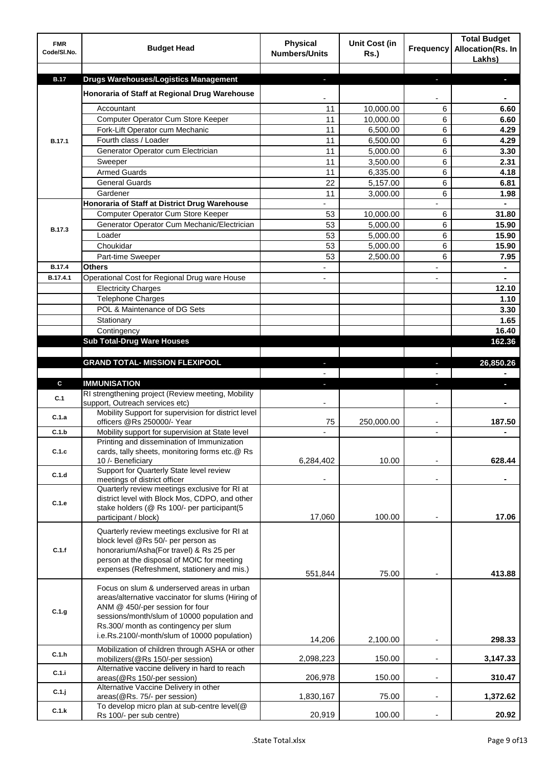| <b>FMR</b><br>Code/SI.No. | <b>Budget Head</b>                                                                                                                                                                                                                                                         | <b>Physical</b><br><b>Numbers/Units</b> | <b>Unit Cost (in</b><br><b>Rs.)</b> | <b>Frequency</b>         | <b>Total Budget</b><br><b>Allocation(Rs. In</b><br>Lakhs) |
|---------------------------|----------------------------------------------------------------------------------------------------------------------------------------------------------------------------------------------------------------------------------------------------------------------------|-----------------------------------------|-------------------------------------|--------------------------|-----------------------------------------------------------|
|                           |                                                                                                                                                                                                                                                                            |                                         |                                     |                          |                                                           |
| <b>B.17</b>               | Drugs Warehouses/Logistics Management                                                                                                                                                                                                                                      | ı                                       |                                     | ı                        |                                                           |
|                           | Honoraria of Staff at Regional Drug Warehouse                                                                                                                                                                                                                              |                                         |                                     |                          |                                                           |
|                           | Accountant                                                                                                                                                                                                                                                                 | 11                                      | 10,000.00                           | 6                        | 6.60                                                      |
|                           | Computer Operator Cum Store Keeper                                                                                                                                                                                                                                         | 11                                      | 10,000.00                           | 6                        | 6.60                                                      |
|                           | Fork-Lift Operator cum Mechanic                                                                                                                                                                                                                                            | 11                                      | 6,500.00                            | 6                        | 4.29                                                      |
| B.17.1                    | Fourth class / Loader                                                                                                                                                                                                                                                      | 11                                      | 6,500.00                            | 6                        | 4.29                                                      |
|                           | Generator Operator cum Electrician                                                                                                                                                                                                                                         | 11                                      | 5,000.00                            | 6                        | 3.30                                                      |
|                           | Sweeper                                                                                                                                                                                                                                                                    | 11                                      | 3,500.00                            | 6                        | 2.31                                                      |
|                           | <b>Armed Guards</b>                                                                                                                                                                                                                                                        | 11                                      | 6,335.00                            | 6                        | 4.18                                                      |
|                           | <b>General Guards</b>                                                                                                                                                                                                                                                      | 22                                      | 5,157.00                            | 6                        | 6.81                                                      |
|                           | Gardener                                                                                                                                                                                                                                                                   | 11                                      | 3,000.00                            | 6                        | 1.98                                                      |
|                           | Honoraria of Staff at District Drug Warehouse                                                                                                                                                                                                                              |                                         |                                     |                          |                                                           |
|                           | Computer Operator Cum Store Keeper                                                                                                                                                                                                                                         | 53                                      | 10,000.00                           | 6                        | 31.80                                                     |
| <b>B.17.3</b>             | Generator Operator Cum Mechanic/Electrician                                                                                                                                                                                                                                | 53                                      | 5,000.00                            | 6                        | 15.90                                                     |
|                           | Loader<br>Choukidar                                                                                                                                                                                                                                                        | 53                                      | 5,000.00                            | 6                        | 15.90                                                     |
|                           | Part-time Sweeper                                                                                                                                                                                                                                                          | 53<br>53                                | 5,000.00<br>2,500.00                | 6<br>6                   | 15.90<br>7.95                                             |
| <b>B.17.4</b>             | <b>Others</b>                                                                                                                                                                                                                                                              |                                         |                                     |                          | $\blacksquare$                                            |
| B.17.4.1                  | Operational Cost for Regional Drug ware House                                                                                                                                                                                                                              | ٠                                       |                                     | $\overline{a}$           | ÷                                                         |
|                           | <b>Electricity Charges</b>                                                                                                                                                                                                                                                 |                                         |                                     |                          | 12.10                                                     |
|                           | <b>Telephone Charges</b>                                                                                                                                                                                                                                                   |                                         |                                     |                          | 1.10                                                      |
|                           | POL & Maintenance of DG Sets                                                                                                                                                                                                                                               |                                         |                                     |                          | 3.30                                                      |
|                           | Stationary                                                                                                                                                                                                                                                                 |                                         |                                     |                          | 1.65                                                      |
|                           | Contingency                                                                                                                                                                                                                                                                |                                         |                                     |                          | 16.40                                                     |
|                           | <b>Sub Total-Drug Ware Houses</b>                                                                                                                                                                                                                                          |                                         |                                     |                          | 162.36                                                    |
|                           |                                                                                                                                                                                                                                                                            |                                         |                                     |                          |                                                           |
|                           | <b>GRAND TOTAL- MISSION FLEXIPOOL</b>                                                                                                                                                                                                                                      |                                         |                                     |                          | 26,850.26                                                 |
|                           |                                                                                                                                                                                                                                                                            |                                         |                                     |                          |                                                           |
| C                         | <b>IMMUNISATION</b>                                                                                                                                                                                                                                                        |                                         |                                     | е                        |                                                           |
| C.1                       | RI strengthening project (Review meeting, Mobility<br>support, Outreach services etc)                                                                                                                                                                                      |                                         |                                     | $\blacksquare$           |                                                           |
| C.1.a                     | Mobility Support for supervision for district level<br>officers @Rs 250000/- Year                                                                                                                                                                                          | 75                                      | 250,000.00                          |                          | 187.50                                                    |
| C.1.b                     | Mobility support for supervision at State level                                                                                                                                                                                                                            |                                         |                                     |                          |                                                           |
| C.1.c                     | Printing and dissemination of Immunization<br>cards, tally sheets, monitoring forms etc.@ Rs<br>10 /- Beneficiary                                                                                                                                                          | 6,284,402                               | 10.00                               |                          | 628.44                                                    |
| C.1.d                     | Support for Quarterly State level review<br>meetings of district officer                                                                                                                                                                                                   |                                         |                                     |                          | ۰                                                         |
| C.1.e                     | Quarterly review meetings exclusive for RI at<br>district level with Block Mos, CDPO, and other<br>stake holders (@ Rs 100/- per participant(5                                                                                                                             |                                         |                                     |                          |                                                           |
|                           | participant / block)                                                                                                                                                                                                                                                       | 17,060                                  | 100.00                              |                          | 17.06                                                     |
| C.1.f                     | Quarterly review meetings exclusive for RI at<br>block level @Rs 50/- per person as<br>honorarium/Asha(For travel) & Rs 25 per<br>person at the disposal of MOIC for meeting<br>expenses (Refreshment, stationery and mis.)                                                | 551,844                                 | 75.00                               |                          | 413.88                                                    |
| C.1.g                     | Focus on slum & underserved areas in urban<br>areas/alternative vaccinator for slums (Hiring of<br>ANM @ 450/-per session for four<br>sessions/month/slum of 10000 population and<br>Rs.300/ month as contingency per slum<br>i.e.Rs.2100/-month/slum of 10000 population) | 14,206                                  | 2,100.00                            |                          | 298.33                                                    |
| C.1.h                     | Mobilization of children through ASHA or other                                                                                                                                                                                                                             |                                         |                                     |                          |                                                           |
| C.1.i                     | mobilizers(@Rs 150/-per session)<br>Alternative vaccine delivery in hard to reach<br>areas(@Rs 150/-per session)                                                                                                                                                           | 2,098,223<br>206,978                    | 150.00<br>150.00                    | $\overline{\phantom{a}}$ | 3,147.33<br>310.47                                        |
| C.1.j                     | Alternative Vaccine Delivery in other                                                                                                                                                                                                                                      |                                         |                                     |                          |                                                           |
|                           | areas(@Rs. 75/- per session)<br>To develop micro plan at sub-centre level(@                                                                                                                                                                                                | 1,830,167                               | 75.00                               |                          | 1,372.62                                                  |
| C.1.k                     | Rs 100/- per sub centre)                                                                                                                                                                                                                                                   | 20,919                                  | 100.00                              |                          | 20.92                                                     |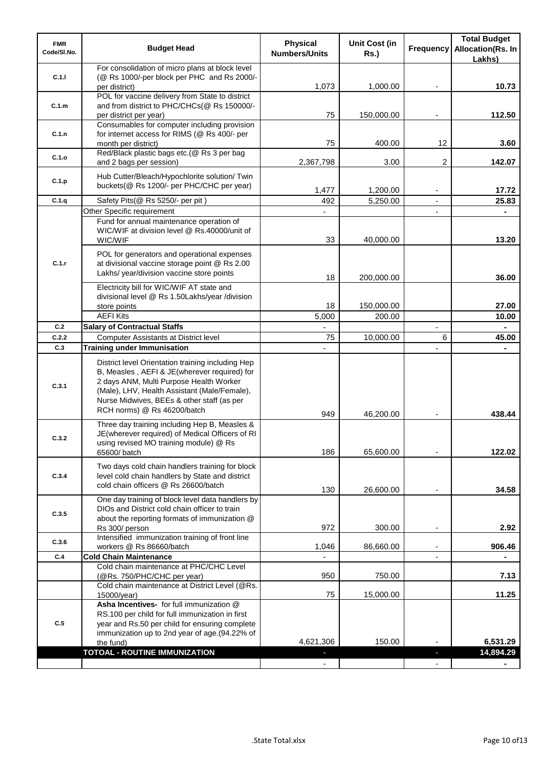| <b>FMR</b><br>Code/SI.No. | <b>Budget Head</b>                                                                                                                                                                                                                                                        | <b>Physical</b><br><b>Numbers/Units</b> | <b>Unit Cost (in</b><br><b>Rs.)</b> | <b>Frequency</b> | <b>Total Budget</b><br><b>Allocation(Rs. In</b><br>Lakhs) |
|---------------------------|---------------------------------------------------------------------------------------------------------------------------------------------------------------------------------------------------------------------------------------------------------------------------|-----------------------------------------|-------------------------------------|------------------|-----------------------------------------------------------|
| C.1.1                     | For consolidation of micro plans at block level<br>(@ Rs 1000/-per block per PHC and Rs 2000/-<br>per district)                                                                                                                                                           | 1,073                                   | 1,000.00                            |                  | 10.73                                                     |
| C.1.m                     | POL for vaccine delivery from State to district<br>and from district to PHC/CHCs(@ Rs 150000/-<br>per district per year)                                                                                                                                                  | 75                                      | 150,000.00                          |                  | 112.50                                                    |
| C.1.n                     | Consumables for computer including provision<br>for internet access for RIMS (@ Rs 400/- per<br>month per district)                                                                                                                                                       | 75                                      | 400.00                              | 12               | 3.60                                                      |
| C.1.o                     | Red/Black plastic bags etc.(@ Rs 3 per bag<br>and 2 bags per session)                                                                                                                                                                                                     | 2,367,798                               | 3.00                                | $\overline{c}$   | 142.07                                                    |
| C.1.p                     | Hub Cutter/Bleach/Hypochlorite solution/ Twin<br>buckets(@ Rs 1200/- per PHC/CHC per year)                                                                                                                                                                                | 1,477                                   | 1,200.00                            |                  | 17.72                                                     |
| C.1.q                     | Safety Pits (@ Rs 5250/- per pit)                                                                                                                                                                                                                                         | 492                                     | 5,250.00                            |                  | 25.83                                                     |
|                           | Other Specific requirement                                                                                                                                                                                                                                                |                                         |                                     |                  |                                                           |
|                           | Fund for annual maintenance operation of<br>WIC/WIF at division level @ Rs.40000/unit of<br>WIC/WIF                                                                                                                                                                       | 33                                      | 40,000.00                           |                  | 13.20                                                     |
| C.1.r                     | POL for generators and operational expenses<br>at divisional vaccine storage point @ Rs 2.00                                                                                                                                                                              |                                         |                                     |                  |                                                           |
|                           | Lakhs/ year/division vaccine store points                                                                                                                                                                                                                                 | 18                                      | 200,000.00                          |                  | 36.00                                                     |
|                           | Electricity bill for WIC/WIF AT state and                                                                                                                                                                                                                                 |                                         |                                     |                  |                                                           |
|                           | divisional level @ Rs 1.50Lakhs/year /division<br>store points                                                                                                                                                                                                            | 18                                      | 150,000.00                          |                  | 27.00                                                     |
|                           | <b>AEFI Kits</b>                                                                                                                                                                                                                                                          | 5,000                                   | 200.00                              |                  | 10.00                                                     |
| C.2                       | <b>Salary of Contractual Staffs</b>                                                                                                                                                                                                                                       |                                         |                                     |                  |                                                           |
| C.2.2                     | <b>Computer Assistants at District level</b>                                                                                                                                                                                                                              | 75                                      | 10,000.00                           | 6                | 45.00                                                     |
| C.3                       | <b>Training under Immunisation</b>                                                                                                                                                                                                                                        |                                         |                                     |                  |                                                           |
| C.3.1                     | District level Orientation training including Hep<br>B, Measles, AEFI & JE(wherever required) for<br>2 days ANM, Multi Purpose Health Worker<br>(Male), LHV, Health Assistant (Male/Female),<br>Nurse Midwives, BEEs & other staff (as per<br>RCH norms) @ Rs 46200/batch |                                         |                                     |                  |                                                           |
| C.3.2                     | Three day training including Hep B, Measles &<br>JE(wherever required) of Medical Officers of RI<br>using revised MO training module) $@$ Rs                                                                                                                              | 949                                     | 46,200.00                           |                  | 438.44                                                    |
|                           | 65600/ batch                                                                                                                                                                                                                                                              | 186                                     | 65,600.00                           |                  | 122.02                                                    |
| C.3.4                     | Two days cold chain handlers training for block<br>level cold chain handlers by State and district<br>cold chain officers @ Rs 26600/batch                                                                                                                                | 130                                     | 26,600.00                           |                  | 34.58                                                     |
| C.3.5                     | One day training of block level data handlers by<br>DIOs and District cold chain officer to train<br>about the reporting formats of immunization @                                                                                                                        |                                         |                                     |                  |                                                           |
|                           | Rs 300/ person<br>Intensified immunization training of front line                                                                                                                                                                                                         | 972                                     | 300.00                              | $\blacksquare$   | 2.92                                                      |
| C.3.6                     | workers @ Rs 86660/batch                                                                                                                                                                                                                                                  | 1,046                                   | 86,660.00                           |                  | 906.46                                                    |
| C.4                       | <b>Cold Chain Maintenance</b>                                                                                                                                                                                                                                             |                                         |                                     |                  |                                                           |
|                           | Cold chain maintenance at PHC/CHC Level<br>(@Rs. 750/PHC/CHC per year)                                                                                                                                                                                                    | 950                                     | 750.00                              |                  | 7.13                                                      |
|                           | Cold chain maintenance at District Level (@Rs.<br>15000/year)                                                                                                                                                                                                             | 75                                      | 15,000.00                           |                  | 11.25                                                     |
| C.5                       | Asha Incentives- for full immunization @<br>RS.100 per child for full immunization in first<br>year and Rs.50 per child for ensuring complete<br>immunization up to 2nd year of age.(94.22% of<br>the fund)                                                               | 4,621,306                               | 150.00                              |                  | 6,531.29                                                  |
|                           | <b>TOTOAL - ROUTINE IMMUNIZATION</b>                                                                                                                                                                                                                                      |                                         |                                     | $\blacksquare$   | 14,894.29                                                 |
|                           |                                                                                                                                                                                                                                                                           | $\blacksquare$                          |                                     | $\blacksquare$   |                                                           |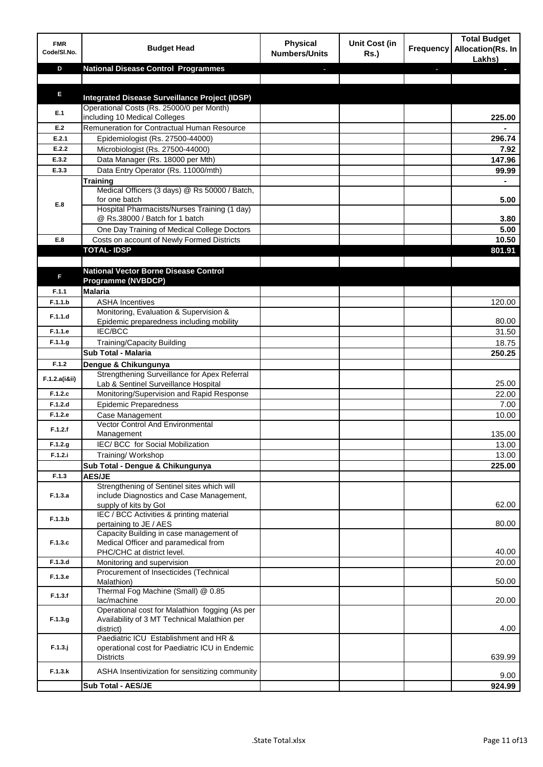| <b>FMR</b><br>Code/SI.No. | <b>Budget Head</b>                                                                             | <b>Physical</b><br><b>Numbers/Units</b> | <b>Unit Cost (in</b><br><b>Rs.)</b> | Frequency | <b>Total Budget</b><br><b>Allocation(Rs. In</b><br>Lakhs) |
|---------------------------|------------------------------------------------------------------------------------------------|-----------------------------------------|-------------------------------------|-----------|-----------------------------------------------------------|
| D                         | <b>National Disease Control Programmes</b>                                                     |                                         |                                     | E.        | п                                                         |
|                           |                                                                                                |                                         |                                     |           |                                                           |
| E                         | Integrated Disease Surveillance Project (IDSP)                                                 |                                         |                                     |           |                                                           |
|                           | Operational Costs (Rs. 25000/0 per Month)                                                      |                                         |                                     |           |                                                           |
| E.1                       | including 10 Medical Colleges                                                                  |                                         |                                     |           | 225.00                                                    |
| E.2                       | Remuneration for Contractual Human Resource                                                    |                                         |                                     |           |                                                           |
| E.2.1                     | Epidemiologist (Rs. 27500-44000)                                                               |                                         |                                     |           | 296.74                                                    |
| E.2.2                     | Microbiologist (Rs. 27500-44000)                                                               |                                         |                                     |           | 7.92                                                      |
| E.3.2<br>E.3.3            | Data Manager (Rs. 18000 per Mth)<br>Data Entry Operator (Rs. 11000/mth)                        |                                         |                                     |           | 147.96<br>99.99                                           |
|                           | <b>Training</b>                                                                                |                                         |                                     |           |                                                           |
|                           | Medical Officers (3 days) @ Rs 50000 / Batch,<br>for one batch                                 |                                         |                                     |           | 5.00                                                      |
| E.8                       | Hospital Pharmacists/Nurses Training (1 day)                                                   |                                         |                                     |           |                                                           |
|                           | @ Rs.38000 / Batch for 1 batch                                                                 |                                         |                                     |           | 3.80                                                      |
|                           | One Day Training of Medical College Doctors                                                    |                                         |                                     |           | 5.00                                                      |
| E.8                       | Costs on account of Newly Formed Districts                                                     |                                         |                                     |           | 10.50                                                     |
|                           | <b>TOTAL-IDSP</b>                                                                              |                                         |                                     |           | 801.91                                                    |
|                           | <b>National Vector Borne Disease Control</b>                                                   |                                         |                                     |           |                                                           |
| F                         | <b>Programme (NVBDCP)</b>                                                                      |                                         |                                     |           |                                                           |
| F.1.1                     | <b>Malaria</b>                                                                                 |                                         |                                     |           |                                                           |
| F.1.1.b                   | <b>ASHA Incentives</b>                                                                         |                                         |                                     |           | 120.00                                                    |
| F.1.1.d                   | Monitoring, Evaluation & Supervision &<br>Epidemic preparedness including mobility             |                                         |                                     |           | 80.00                                                     |
| F.1.1.e                   | <b>IEC/BCC</b>                                                                                 |                                         |                                     |           | 31.50                                                     |
| F.1.1.g                   | <b>Training/Capacity Building</b>                                                              |                                         |                                     |           | 18.75                                                     |
|                           | <b>Sub Total - Malaria</b>                                                                     |                                         |                                     |           | 250.25                                                    |
| F.1.2                     | Dengue & Chikungunya                                                                           |                                         |                                     |           |                                                           |
| F.1.2.a(iⅈ)               | Strengthening Surveillance for Apex Referral<br>Lab & Sentinel Surveillance Hospital           |                                         |                                     |           | 25.00                                                     |
| F.1.2.c                   | Monitoring/Supervision and Rapid Response                                                      |                                         |                                     |           | 22.00                                                     |
| F.1.2.d                   | <b>Epidemic Preparedness</b>                                                                   |                                         |                                     |           | 7.00                                                      |
| F.1.2.e                   | Case Management                                                                                |                                         |                                     |           | 10.00                                                     |
| F.1.2.f                   | Vector Control And Environmental<br>Management                                                 |                                         |                                     |           | 135.00                                                    |
| F.1.2.g                   | IEC/BCC for Social Mobilization                                                                |                                         |                                     |           | 13.00                                                     |
| F.1.2.i                   | Training/ Workshop                                                                             |                                         |                                     |           | 13.00                                                     |
| F.1.3                     | Sub Total - Dengue & Chikungunya<br><b>AES/JE</b>                                              |                                         |                                     |           | 225.00                                                    |
|                           | Strengthening of Sentinel sites which will                                                     |                                         |                                     |           |                                                           |
| F.1.3.a                   | include Diagnostics and Case Management,<br>supply of kits by Gol                              |                                         |                                     |           | 62.00                                                     |
| F.1.3.b                   | IEC / BCC Activities & printing material<br>pertaining to JE / AES                             |                                         |                                     |           | 80.00                                                     |
| F.1.3.c                   | Capacity Building in case management of<br>Medical Officer and paramedical from                |                                         |                                     |           |                                                           |
|                           | PHC/CHC at district level.                                                                     |                                         |                                     |           | 40.00                                                     |
| F.1.3.d                   | Monitoring and supervision                                                                     |                                         |                                     |           | 20.00                                                     |
| F.1.3.e                   | Procurement of Insecticides (Technical<br>Malathion)                                           |                                         |                                     |           | 50.00                                                     |
| F.1.3.f                   | Thermal Fog Machine (Small) @ 0.85<br>lac/machine                                              |                                         |                                     |           | 20.00                                                     |
| F.1.3.g                   | Operational cost for Malathion fogging (As per<br>Availability of 3 MT Technical Malathion per |                                         |                                     |           |                                                           |
|                           | district)                                                                                      |                                         |                                     |           | 4.00                                                      |
| $F.1.3.$ j                | Paediatric ICU Establishment and HR &<br>operational cost for Paediatric ICU in Endemic        |                                         |                                     |           |                                                           |
|                           | <b>Districts</b>                                                                               |                                         |                                     |           | 639.99                                                    |
| F.1.3.k                   | ASHA Insentivization for sensitizing community                                                 |                                         |                                     |           | 9.00                                                      |
|                           | Sub Total - AES/JE                                                                             |                                         |                                     |           | 924.99                                                    |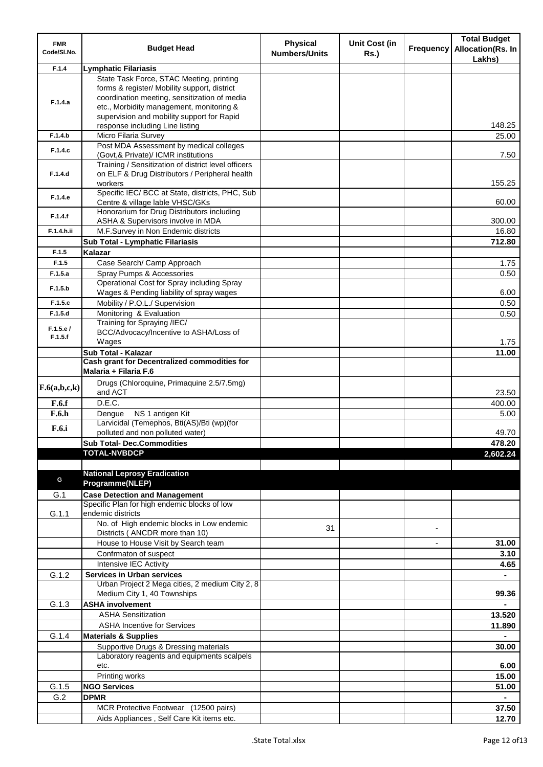| <b>FMR</b><br>Code/SI.No. | <b>Budget Head</b>                                                                                                                                                                                                                 | <b>Physical</b><br><b>Numbers/Units</b> | Unit Cost (in<br><b>Rs.)</b> | Frequency | <b>Total Budget</b><br><b>Allocation(Rs. In</b><br>Lakhs) |
|---------------------------|------------------------------------------------------------------------------------------------------------------------------------------------------------------------------------------------------------------------------------|-----------------------------------------|------------------------------|-----------|-----------------------------------------------------------|
| F.1.4                     | <b>Lymphatic Filariasis</b>                                                                                                                                                                                                        |                                         |                              |           |                                                           |
| F.1.4.a                   | State Task Force, STAC Meeting, printing<br>forms & register/ Mobility support, district<br>coordination meeting, sensitization of media<br>etc., Morbidity management, monitoring &<br>supervision and mobility support for Rapid |                                         |                              |           | 148.25                                                    |
| F.1.4.b                   | response including Line listing<br>Micro Filaria Survey                                                                                                                                                                            |                                         |                              |           | 25.00                                                     |
|                           | Post MDA Assessment by medical colleges                                                                                                                                                                                            |                                         |                              |           |                                                           |
| F.1.4.c                   | (Govt,& Private)/ ICMR institutions                                                                                                                                                                                                |                                         |                              |           | 7.50                                                      |
| F.1.4.d                   | Training / Sensitization of district level officers<br>on ELF & Drug Distributors / Peripheral health<br>workers                                                                                                                   |                                         |                              |           | 155.25                                                    |
| F.1.4.e                   | Specific IEC/ BCC at State, districts, PHC, Sub<br>Centre & village lable VHSC/GKs                                                                                                                                                 |                                         |                              |           | 60.00                                                     |
| F.1.4.f                   | Honorarium for Drug Distributors including<br>ASHA & Supervisors involve in MDA                                                                                                                                                    |                                         |                              |           | 300.00                                                    |
| F.1.4.h.ii                | M.F.Survey in Non Endemic districts                                                                                                                                                                                                |                                         |                              |           | 16.80                                                     |
|                           | Sub Total - Lymphatic Filariasis                                                                                                                                                                                                   |                                         |                              |           | 712.80                                                    |
| F.1.5                     | Kalazar                                                                                                                                                                                                                            |                                         |                              |           |                                                           |
| F.1.5                     | Case Search/ Camp Approach                                                                                                                                                                                                         |                                         |                              |           | 1.75                                                      |
| F.1.5.a                   | Spray Pumps & Accessories                                                                                                                                                                                                          |                                         |                              |           | 0.50                                                      |
| F.1.5.b                   | Operational Cost for Spray including Spray<br>Wages & Pending liability of spray wages                                                                                                                                             |                                         |                              |           | 6.00                                                      |
| F.1.5.c                   | Mobility / P.O.L./ Supervision                                                                                                                                                                                                     |                                         |                              |           | 0.50                                                      |
| F.1.5.d                   | Monitoring & Evaluation                                                                                                                                                                                                            |                                         |                              |           | 0.50                                                      |
| F.1.5.e/<br>F.1.5.f       | Training for Spraying /IEC/<br>BCC/Advocacy/Incentive to ASHA/Loss of                                                                                                                                                              |                                         |                              |           |                                                           |
|                           | Wages                                                                                                                                                                                                                              |                                         |                              |           | 1.75                                                      |
|                           | Sub Total - Kalazar                                                                                                                                                                                                                |                                         |                              |           | 11.00                                                     |
|                           | Cash grant for Decentralized commodities for<br>Malaria + Filaria F.6                                                                                                                                                              |                                         |                              |           |                                                           |
| F.6(a,b,c,k)              | Drugs (Chloroquine, Primaquine 2.5/7.5mg)<br>and ACT                                                                                                                                                                               |                                         |                              |           | 23.50                                                     |
| <b>F.6.f</b>              | D.E.C.                                                                                                                                                                                                                             |                                         |                              |           | 400.00                                                    |
| <b>F.6.h</b>              | Dengue<br>NS 1 antigen Kit                                                                                                                                                                                                         |                                         |                              |           | 5.00                                                      |
| <b>F.6.i</b>              | Larvicidal (Temephos, Bti(AS)/Bti (wp)(for<br>polluted and non polluted water)                                                                                                                                                     |                                         |                              |           | 49.70                                                     |
|                           | Sub Total- Dec.Commodities                                                                                                                                                                                                         |                                         |                              |           | 478.20                                                    |
|                           | <b>TOTAL-NVBDCP</b>                                                                                                                                                                                                                |                                         |                              |           | 2,602.24                                                  |
|                           |                                                                                                                                                                                                                                    |                                         |                              |           |                                                           |
| G                         | <b>National Leprosy Eradication</b><br>Programme(NLEP)                                                                                                                                                                             |                                         |                              |           |                                                           |
| G.1                       | <b>Case Detection and Management</b>                                                                                                                                                                                               |                                         |                              |           |                                                           |
|                           | Specific Plan for high endemic blocks of low                                                                                                                                                                                       |                                         |                              |           |                                                           |
| G.1.1                     | endemic districts                                                                                                                                                                                                                  |                                         |                              |           |                                                           |
|                           | No. of High endemic blocks in Low endemic<br>Districts (ANCDR more than 10)                                                                                                                                                        | 31                                      |                              |           |                                                           |
|                           | House to House Visit by Search team                                                                                                                                                                                                |                                         |                              |           | 31.00                                                     |
|                           | Confrmaton of suspect                                                                                                                                                                                                              |                                         |                              |           | 3.10                                                      |
|                           | Intensive IEC Activity                                                                                                                                                                                                             |                                         |                              |           | 4.65                                                      |
| G.1.2                     | <b>Services in Urban services</b>                                                                                                                                                                                                  |                                         |                              |           |                                                           |
|                           | Urban Project 2 Mega cities, 2 medium City 2, 8<br>Medium City 1, 40 Townships                                                                                                                                                     |                                         |                              |           | 99.36                                                     |
| G.1.3                     | <b>ASHA involvement</b>                                                                                                                                                                                                            |                                         |                              |           |                                                           |
|                           | <b>ASHA Sensitization</b>                                                                                                                                                                                                          |                                         |                              |           | 13.520                                                    |
|                           | <b>ASHA Incentive for Services</b>                                                                                                                                                                                                 |                                         |                              |           | 11.890                                                    |
| G.1.4                     | <b>Materials &amp; Supplies</b>                                                                                                                                                                                                    |                                         |                              |           |                                                           |
|                           | Supportive Drugs & Dressing materials                                                                                                                                                                                              |                                         |                              |           | 30.00                                                     |
|                           | Laboratory reagents and equipments scalpels<br>etc.                                                                                                                                                                                |                                         |                              |           | 6.00                                                      |
|                           | Printing works                                                                                                                                                                                                                     |                                         |                              |           | 15.00                                                     |
| G.1.5                     | <b>NGO Services</b>                                                                                                                                                                                                                |                                         |                              |           | 51.00                                                     |
| G.2                       | <b>DPMR</b>                                                                                                                                                                                                                        |                                         |                              |           | $\blacksquare$                                            |
|                           | MCR Protective Footwear (12500 pairs)                                                                                                                                                                                              |                                         |                              |           | 37.50                                                     |
|                           | Aids Appliances, Self Care Kit items etc.                                                                                                                                                                                          |                                         |                              |           | 12.70                                                     |